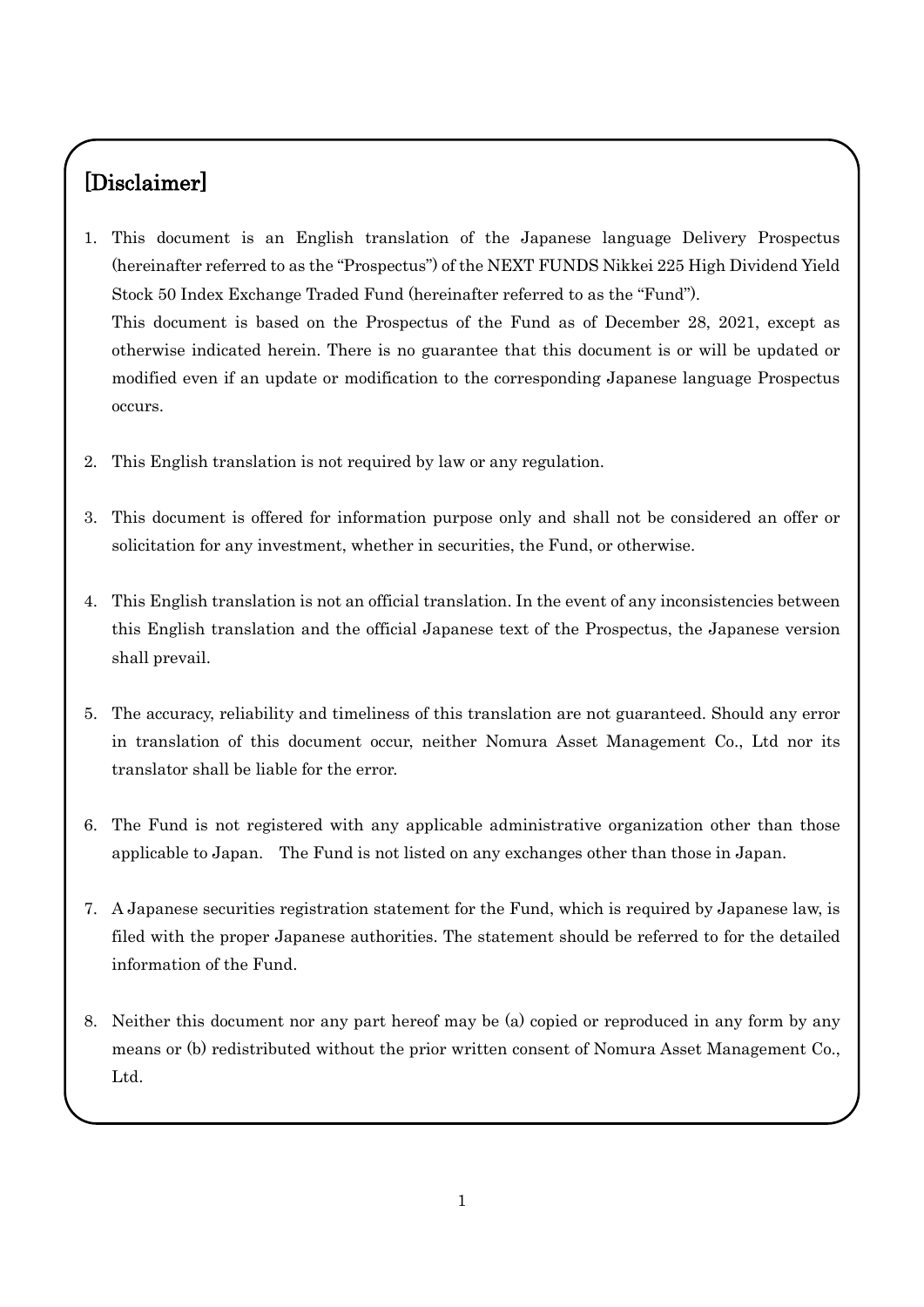# [Disclaimer]

- 1. This document is an English translation of the Japanese language Delivery Prospectus (hereinafter referred to as the "Prospectus") of the NEXT FUNDS Nikkei 225 High Dividend Yield Stock 50 Index Exchange Traded Fund (hereinafter referred to as the "Fund"). This document is based on the Prospectus of the Fund as of December 28, 2021, except as otherwise indicated herein. There is no guarantee that this document is or will be updated or modified even if an update or modification to the corresponding Japanese language Prospectus occurs.
- 2. This English translation is not required by law or any regulation.
- 3. This document is offered for information purpose only and shall not be considered an offer or solicitation for any investment, whether in securities, the Fund, or otherwise.
- 4. This English translation is not an official translation. In the event of any inconsistencies between this English translation and the official Japanese text of the Prospectus, the Japanese version shall prevail.
- 5. The accuracy, reliability and timeliness of this translation are not guaranteed. Should any error in translation of this document occur, neither Nomura Asset Management Co., Ltd nor its translator shall be liable for the error.
- 6. The Fund is not registered with any applicable administrative organization other than those applicable to Japan. The Fund is not listed on any exchanges other than those in Japan.
- 7. A Japanese securities registration statement for the Fund, which is required by Japanese law, is filed with the proper Japanese authorities. The statement should be referred to for the detailed information of the Fund.
- 8. Neither this document nor any part hereof may be (a) copied or reproduced in any form by any means or (b) redistributed without the prior written consent of Nomura Asset Management Co., Ltd.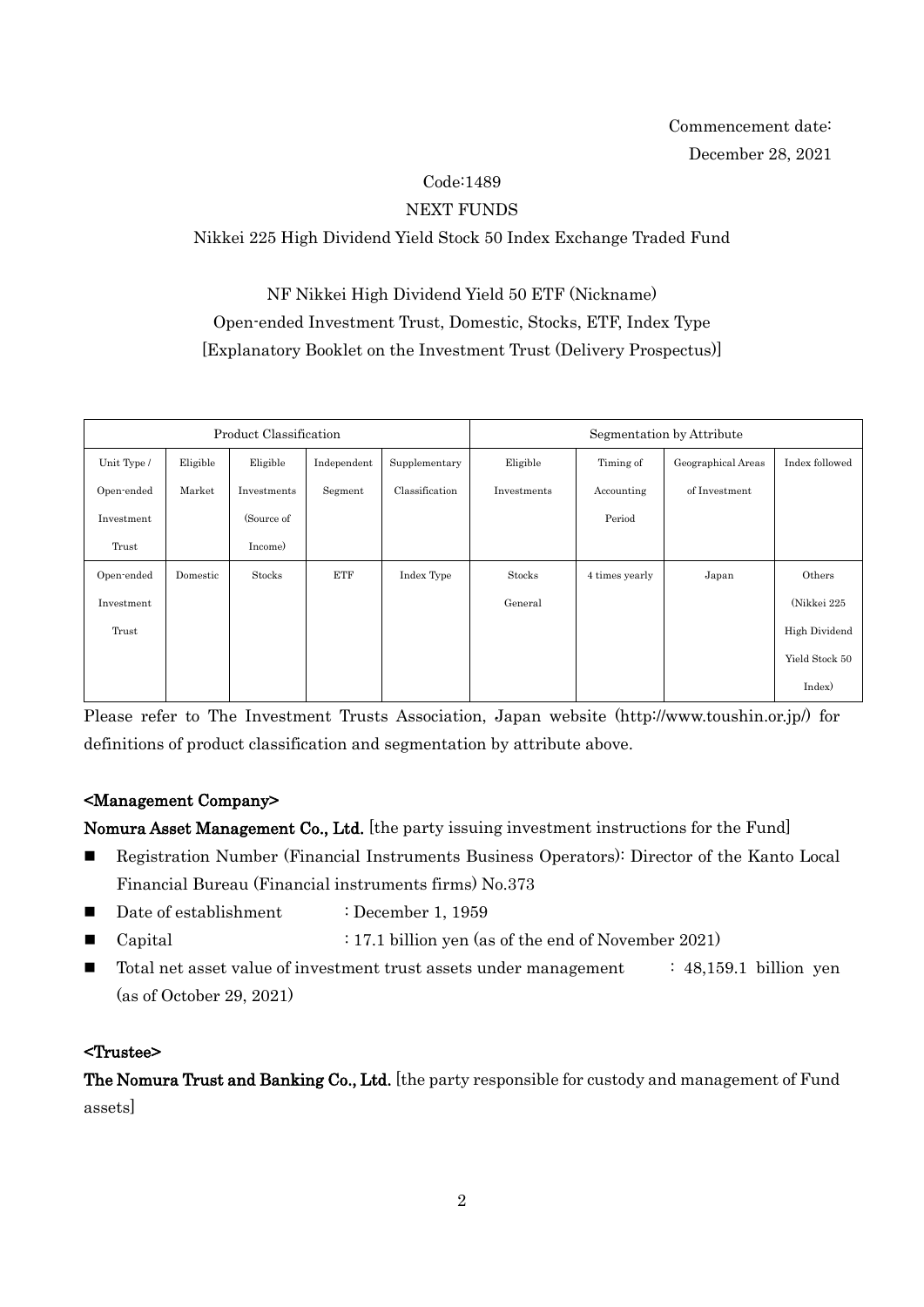## Code:1489

## NEXT FUNDS

## Nikkei 225 High Dividend Yield Stock 50 Index Exchange Traded Fund

NF Nikkei High Dividend Yield 50 ETF (Nickname) Open-ended Investment Trust, Domestic, Stocks, ETF, Index Type [Explanatory Booklet on the Investment Trust (Delivery Prospectus)]

| Product Classification |          |             |             | Segmentation by Attribute |             |                |                    |                |
|------------------------|----------|-------------|-------------|---------------------------|-------------|----------------|--------------------|----------------|
| Unit Type /            | Eligible | Eligible    | Independent | Supplementary             | Eligible    | Timing of      | Geographical Areas | Index followed |
| Open-ended             | Market   | Investments | Segment     | Classification            | Investments | Accounting     | of Investment      |                |
| Investment             |          | (Source of  |             |                           |             | Period         |                    |                |
| Trust                  |          | Income)     |             |                           |             |                |                    |                |
| Open-ended             | Domestic | Stocks      | <b>ETF</b>  | Index Type                | Stocks      | 4 times yearly | Japan              | Others         |
| Investment             |          |             |             |                           | General     |                |                    | (Nikkei 225    |
| Trust                  |          |             |             |                           |             |                |                    | High Dividend  |
|                        |          |             |             |                           |             |                |                    | Yield Stock 50 |
|                        |          |             |             |                           |             |                |                    | Index)         |

Please refer to The Investment Trusts Association, Japan website (http://www.toushin.or.jp/) for definitions of product classification and segmentation by attribute above.

#### <Management Company>

Nomura Asset Management Co., Ltd. [the party issuing investment instructions for the Fund]

- Registration Number (Financial Instruments Business Operators): Director of the Kanto Local Financial Bureau (Financial instruments firms) No.373
- Date of establishment : December 1, 1959
- Capital : 17.1 billion yen (as of the end of November 2021)
- $\blacksquare$  Total net asset value of investment trust assets under management : 48,159.1 billion yen (as of October 29, 2021)

#### <Trustee>

The Nomura Trust and Banking Co., Ltd. [the party responsible for custody and management of Fund assets]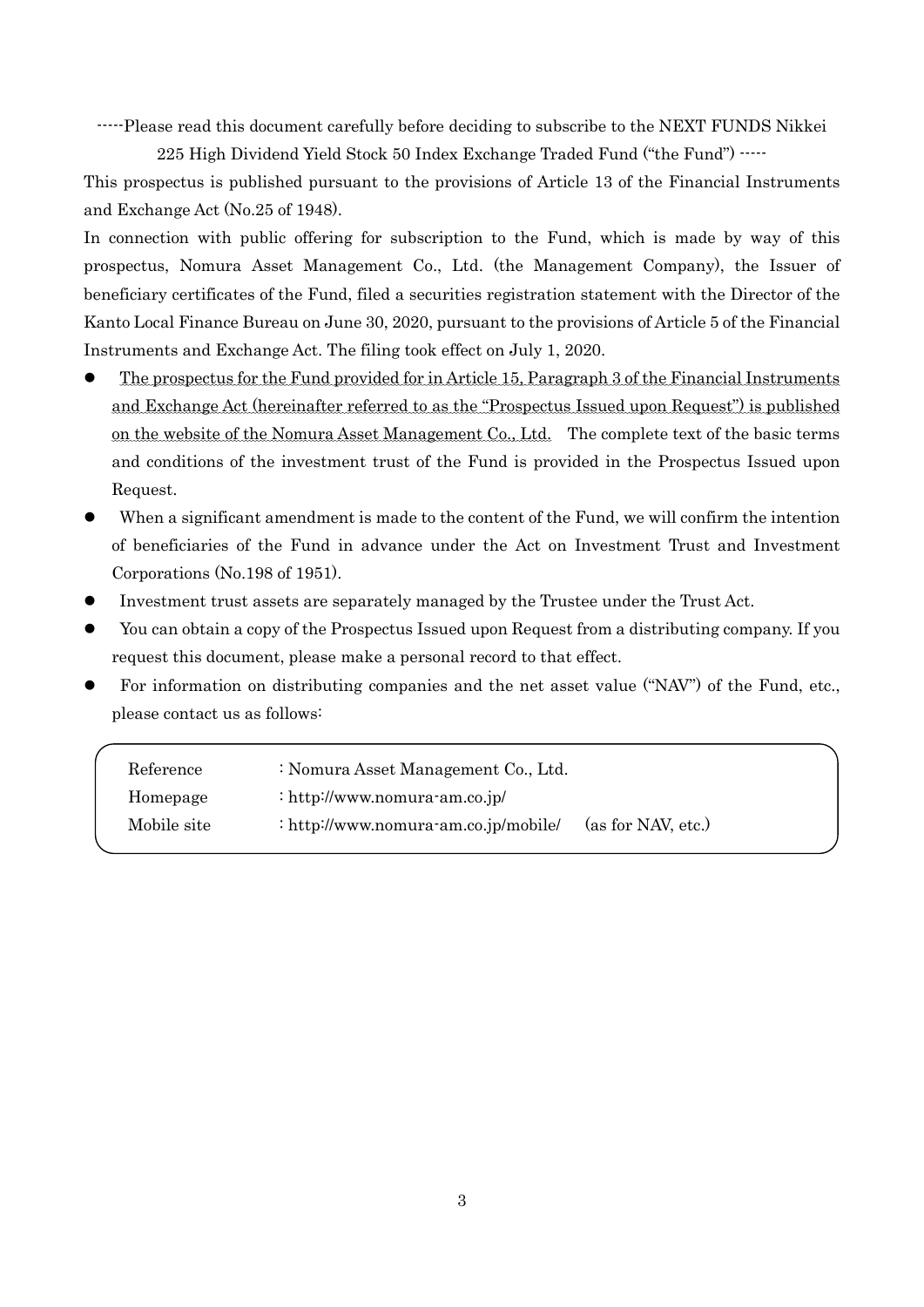-----Please read this document carefully before deciding to subscribe to the NEXT FUNDS Nikkei

225 High Dividend Yield Stock 50 Index Exchange Traded Fund ("the Fund") -----

This prospectus is published pursuant to the provisions of Article 13 of the Financial Instruments and Exchange Act (No.25 of 1948).

In connection with public offering for subscription to the Fund, which is made by way of this prospectus, Nomura Asset Management Co., Ltd. (the Management Company), the Issuer of beneficiary certificates of the Fund, filed a securities registration statement with the Director of the Kanto Local Finance Bureau on June 30, 2020, pursuant to the provisions of Article 5 of the Financial Instruments and Exchange Act. The filing took effect on July 1, 2020.

- The prospectus for the Fund provided for in Article 15, Paragraph 3 of the Financial Instruments and Exchange Act (hereinafter referred to as the "Prospectus Issued upon Request") is published on the website of the Nomura Asset Management Co., Ltd. The complete text of the basic terms and conditions of the investment trust of the Fund is provided in the Prospectus Issued upon Request.
- When a significant amendment is made to the content of the Fund, we will confirm the intention of beneficiaries of the Fund in advance under the Act on Investment Trust and Investment Corporations (No.198 of 1951).
- Investment trust assets are separately managed by the Trustee under the Trust Act.
- You can obtain a copy of the Prospectus Issued upon Request from a distributing company. If you request this document, please make a personal record to that effect.
- For information on distributing companies and the net asset value ("NAV") of the Fund, etc., please contact us as follows:

| Reference   | : Nomura Asset Management Co., Ltd.  |                    |
|-------------|--------------------------------------|--------------------|
| Homepage    | : http://www.nomura-am.co.jp/        |                    |
| Mobile site | : http://www.nomura-am.co.jp/mobile/ | (as for NAV, etc.) |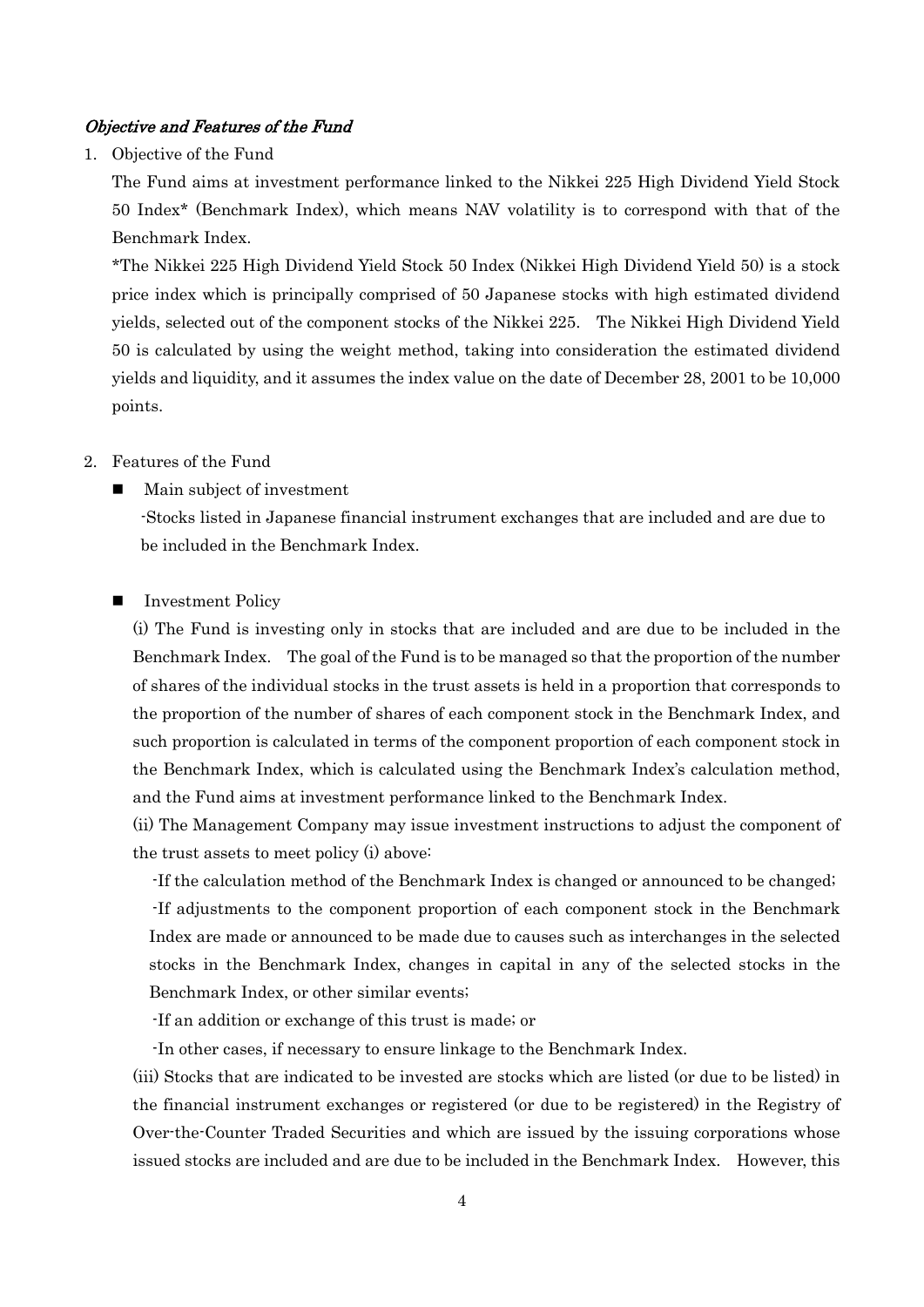#### Objective and Features of the Fund

1. Objective of the Fund

The Fund aims at investment performance linked to the Nikkei 225 High Dividend Yield Stock 50 Index\* (Benchmark Index), which means NAV volatility is to correspond with that of the Benchmark Index.

\*The Nikkei 225 High Dividend Yield Stock 50 Index (Nikkei High Dividend Yield 50) is a stock price index which is principally comprised of 50 Japanese stocks with high estimated dividend yields, selected out of the component stocks of the Nikkei 225. The Nikkei High Dividend Yield 50 is calculated by using the weight method, taking into consideration the estimated dividend yields and liquidity, and it assumes the index value on the date of December 28, 2001 to be 10,000 points.

- 2. Features of the Fund
	- Main subject of investment

-Stocks listed in Japanese financial instrument exchanges that are included and are due to be included in the Benchmark Index.

**I** Investment Policy

(i) The Fund is investing only in stocks that are included and are due to be included in the Benchmark Index. The goal of the Fund is to be managed so that the proportion of the number of shares of the individual stocks in the trust assets is held in a proportion that corresponds to the proportion of the number of shares of each component stock in the Benchmark Index, and such proportion is calculated in terms of the component proportion of each component stock in the Benchmark Index, which is calculated using the Benchmark Index's calculation method, and the Fund aims at investment performance linked to the Benchmark Index.

(ii) The Management Company may issue investment instructions to adjust the component of the trust assets to meet policy (i) above:

-If the calculation method of the Benchmark Index is changed or announced to be changed; -If adjustments to the component proportion of each component stock in the Benchmark Index are made or announced to be made due to causes such as interchanges in the selected stocks in the Benchmark Index, changes in capital in any of the selected stocks in the Benchmark Index, or other similar events;

-If an addition or exchange of this trust is made; or

-In other cases, if necessary to ensure linkage to the Benchmark Index.

(iii) Stocks that are indicated to be invested are stocks which are listed (or due to be listed) in the financial instrument exchanges or registered (or due to be registered) in the Registry of Over-the-Counter Traded Securities and which are issued by the issuing corporations whose issued stocks are included and are due to be included in the Benchmark Index. However, this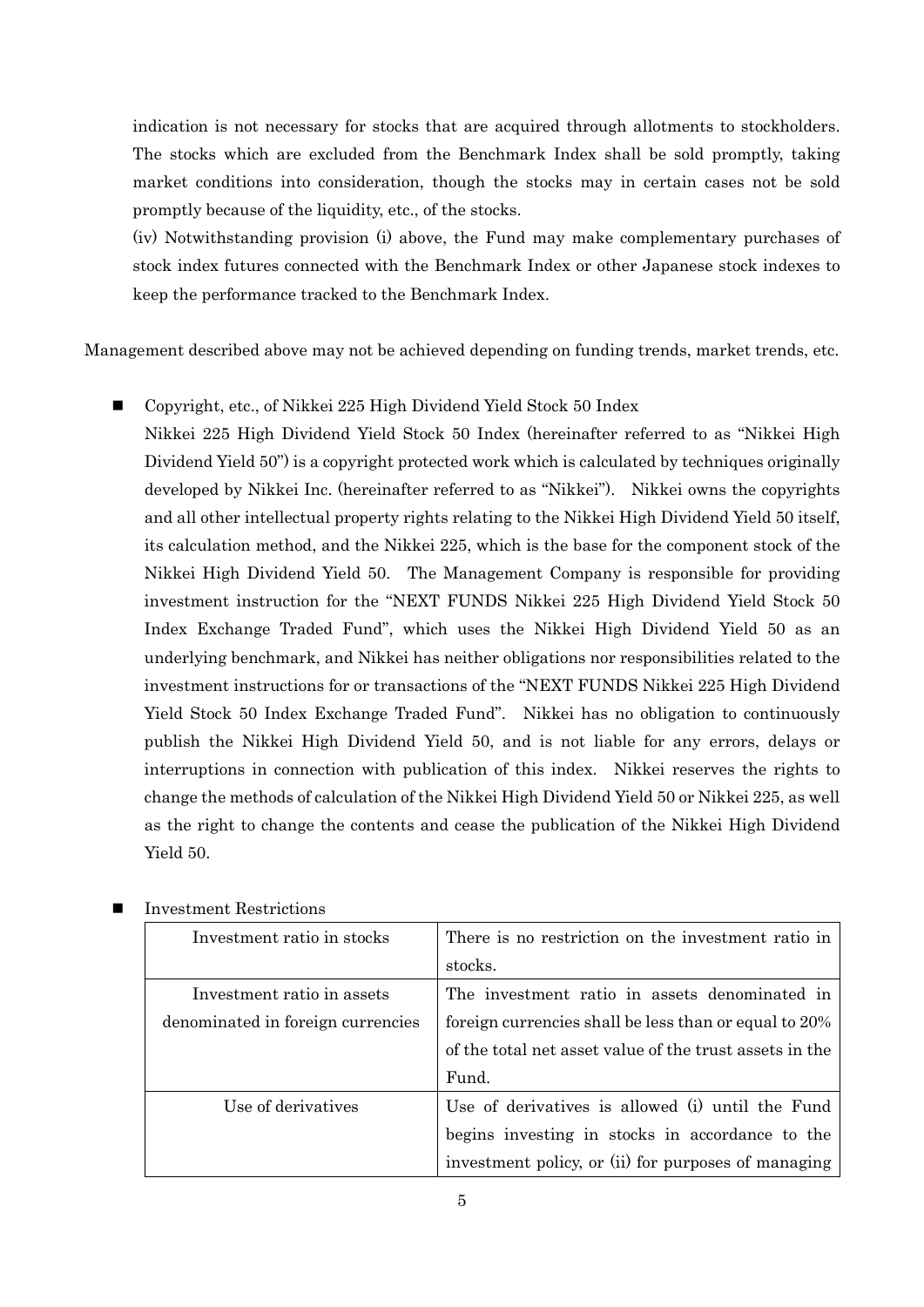indication is not necessary for stocks that are acquired through allotments to stockholders. The stocks which are excluded from the Benchmark Index shall be sold promptly, taking market conditions into consideration, though the stocks may in certain cases not be sold promptly because of the liquidity, etc., of the stocks.

(iv) Notwithstanding provision (i) above, the Fund may make complementary purchases of stock index futures connected with the Benchmark Index or other Japanese stock indexes to keep the performance tracked to the Benchmark Index.

Management described above may not be achieved depending on funding trends, market trends, etc.

■ Copyright, etc., of Nikkei 225 High Dividend Yield Stock 50 Index

Nikkei 225 High Dividend Yield Stock 50 Index (hereinafter referred to as "Nikkei High Dividend Yield 50") is a copyright protected work which is calculated by techniques originally developed by Nikkei Inc. (hereinafter referred to as "Nikkei"). Nikkei owns the copyrights and all other intellectual property rights relating to the Nikkei High Dividend Yield 50 itself, its calculation method, and the Nikkei 225, which is the base for the component stock of the Nikkei High Dividend Yield 50. The Management Company is responsible for providing investment instruction for the "NEXT FUNDS Nikkei 225 High Dividend Yield Stock 50 Index Exchange Traded Fund", which uses the Nikkei High Dividend Yield 50 as an underlying benchmark, and Nikkei has neither obligations nor responsibilities related to the investment instructions for or transactions of the "NEXT FUNDS Nikkei 225 High Dividend Yield Stock 50 Index Exchange Traded Fund". Nikkei has no obligation to continuously publish the Nikkei High Dividend Yield 50, and is not liable for any errors, delays or interruptions in connection with publication of this index. Nikkei reserves the rights to change the methods of calculation of the Nikkei High Dividend Yield 50 or Nikkei 225, as well as the right to change the contents and cease the publication of the Nikkei High Dividend Yield 50.

| Investment ratio in stocks        | There is no restriction on the investment ratio in      |
|-----------------------------------|---------------------------------------------------------|
|                                   | stocks.                                                 |
| Investment ratio in assets        | The investment ratio in assets denominated in           |
| denominated in foreign currencies | foreign currencies shall be less than or equal to 20%   |
|                                   | of the total net asset value of the trust assets in the |
|                                   | Fund.                                                   |
| Use of derivatives                | Use of derivatives is allowed (i) until the Fund        |
|                                   | begins investing in stocks in accordance to the         |
|                                   | investment policy, or (ii) for purposes of managing     |

Investment Restrictions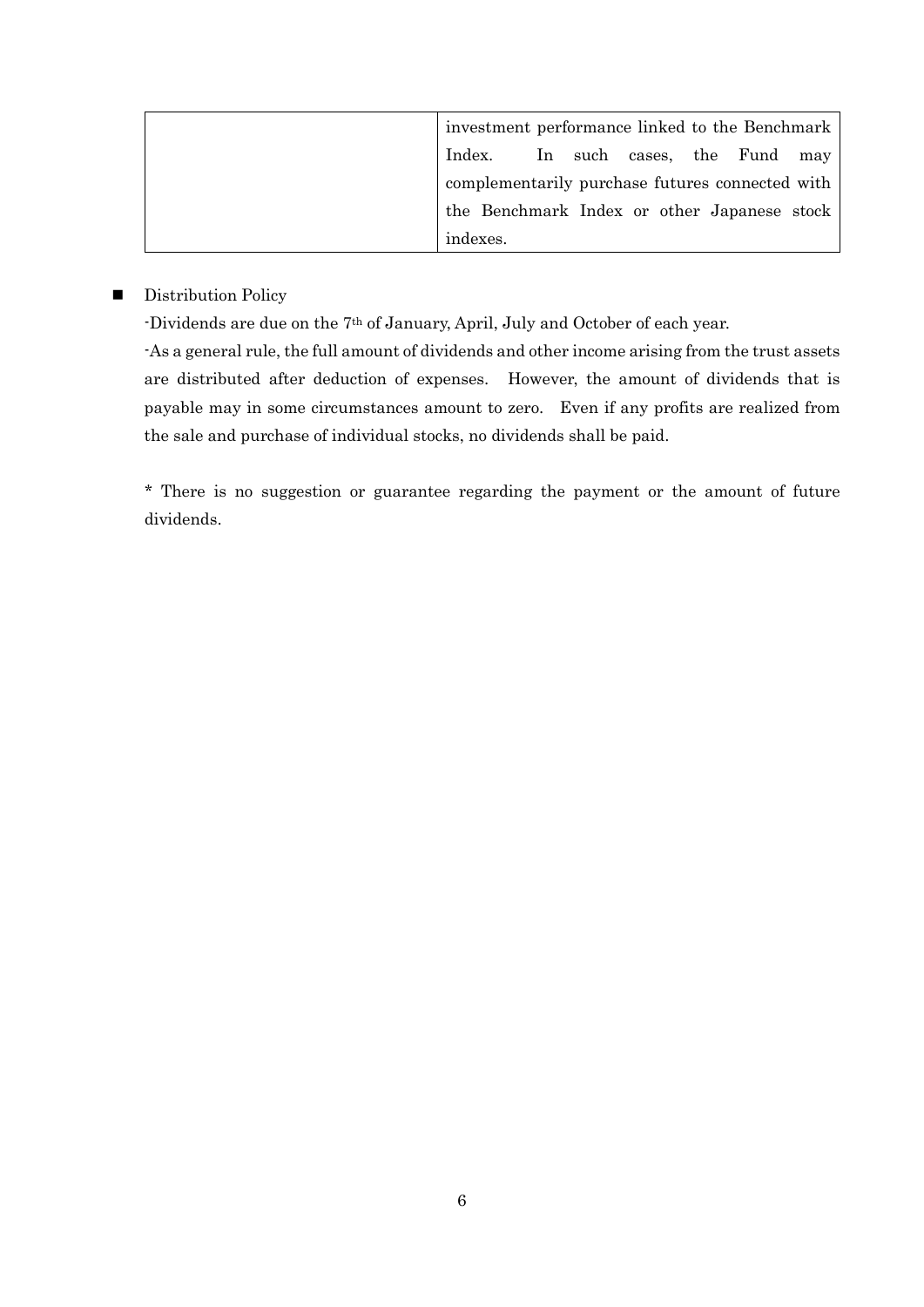| investment performance linked to the Benchmark  |  |  |  |
|-------------------------------------------------|--|--|--|
| Index. In such cases, the Fund may              |  |  |  |
| complementarily purchase futures connected with |  |  |  |
| the Benchmark Index or other Japanese stock     |  |  |  |
| indexes.                                        |  |  |  |

#### **Distribution Policy**

-Dividends are due on the 7th of January, April, July and October of each year.

-As a general rule, the full amount of dividends and other income arising from the trust assets are distributed after deduction of expenses. However, the amount of dividends that is payable may in some circumstances amount to zero. Even if any profits are realized from the sale and purchase of individual stocks, no dividends shall be paid.

\* There is no suggestion or guarantee regarding the payment or the amount of future dividends.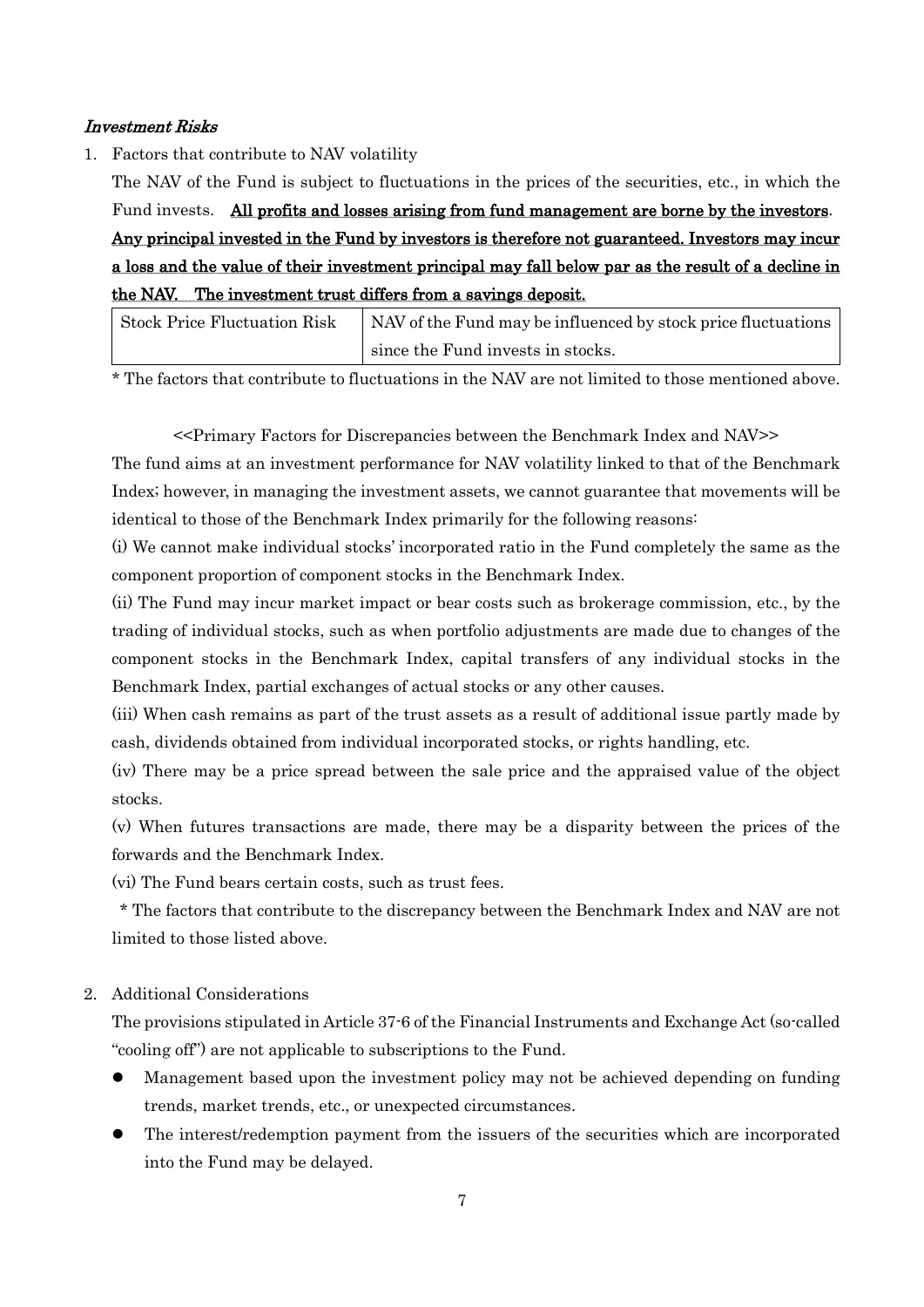#### Investment Risks

1. Factors that contribute to NAV volatility

The NAV of the Fund is subject to fluctuations in the prices of the securities, etc., in which the Fund invests. All profits and losses arising from fund management are borne by the investors. Any principal invested in the Fund by investors is therefore not guaranteed. Investors may incur a loss and the value of their investment principal may fall below par as the result of a decline in the NAV. The investment trust differs from a savings deposit.

| <b>Stock Price Fluctuation Risk</b> | NAV of the Fund may be influenced by stock price fluctuations |
|-------------------------------------|---------------------------------------------------------------|
|                                     | since the Fund invests in stocks.                             |

\* The factors that contribute to fluctuations in the NAV are not limited to those mentioned above.

<<Primary Factors for Discrepancies between the Benchmark Index and NAV>>

The fund aims at an investment performance for NAV volatility linked to that of the Benchmark Index; however, in managing the investment assets, we cannot guarantee that movements will be identical to those of the Benchmark Index primarily for the following reasons:

(i) We cannot make individual stocks' incorporated ratio in the Fund completely the same as the component proportion of component stocks in the Benchmark Index.

(ii) The Fund may incur market impact or bear costs such as brokerage commission, etc., by the trading of individual stocks, such as when portfolio adjustments are made due to changes of the component stocks in the Benchmark Index, capital transfers of any individual stocks in the Benchmark Index, partial exchanges of actual stocks or any other causes.

(iii) When cash remains as part of the trust assets as a result of additional issue partly made by cash, dividends obtained from individual incorporated stocks, or rights handling, etc.

(iv) There may be a price spread between the sale price and the appraised value of the object stocks.

(v) When futures transactions are made, there may be a disparity between the prices of the forwards and the Benchmark Index.

(vi) The Fund bears certain costs, such as trust fees.

\* The factors that contribute to the discrepancy between the Benchmark Index and NAV are not limited to those listed above.

#### 2. Additional Considerations

The provisions stipulated in Article 37-6 of the Financial Instruments and Exchange Act (so-called "cooling off") are not applicable to subscriptions to the Fund.

- Management based upon the investment policy may not be achieved depending on funding trends, market trends, etc., or unexpected circumstances.
- The interest/redemption payment from the issuers of the securities which are incorporated into the Fund may be delayed.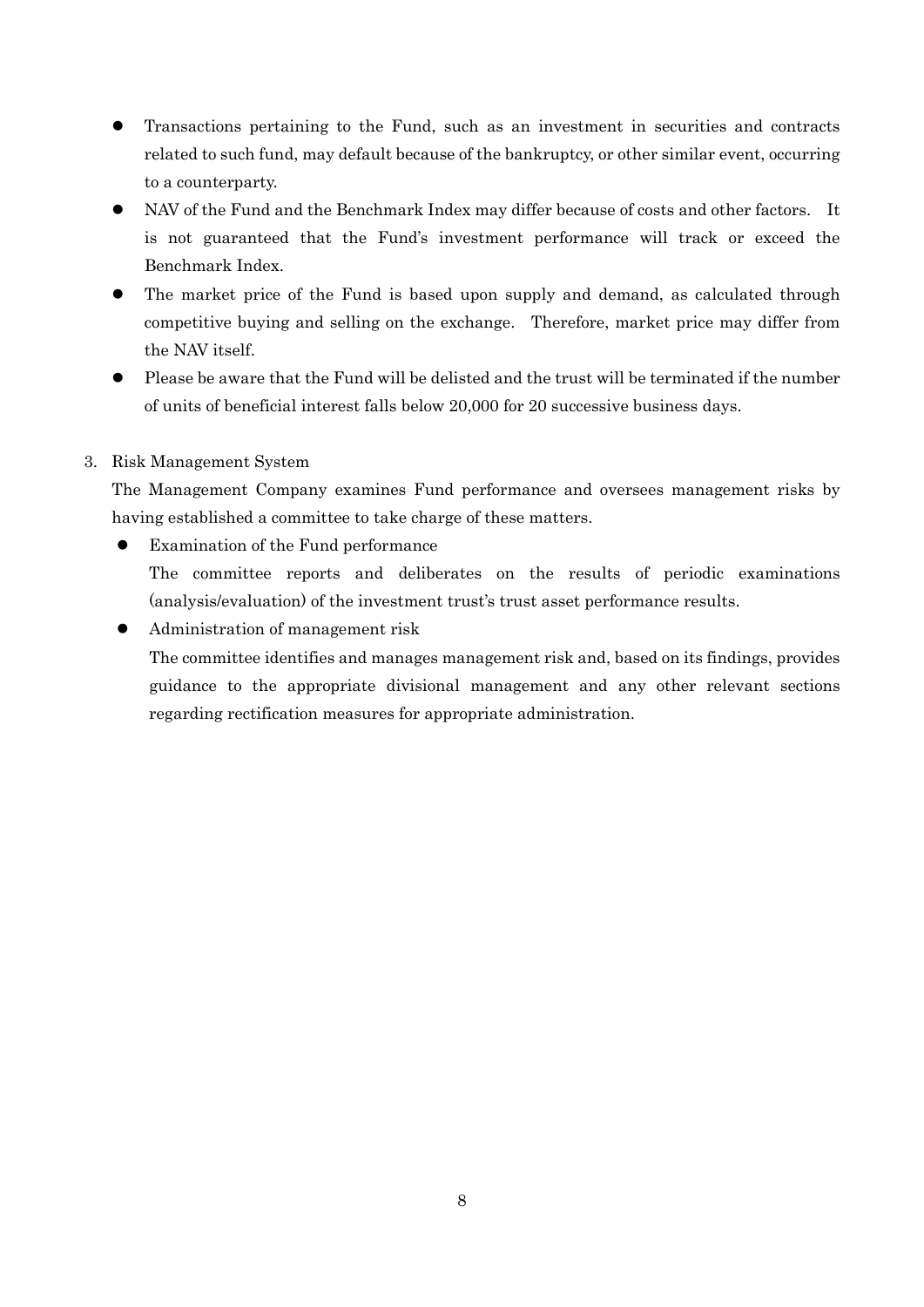- Transactions pertaining to the Fund, such as an investment in securities and contracts related to such fund, may default because of the bankruptcy, or other similar event, occurring to a counterparty.
- NAV of the Fund and the Benchmark Index may differ because of costs and other factors. It is not guaranteed that the Fund's investment performance will track or exceed the Benchmark Index.
- The market price of the Fund is based upon supply and demand, as calculated through competitive buying and selling on the exchange. Therefore, market price may differ from the NAV itself.
- Please be aware that the Fund will be delisted and the trust will be terminated if the number of units of beneficial interest falls below 20,000 for 20 successive business days.

## 3. Risk Management System

The Management Company examines Fund performance and oversees management risks by having established a committee to take charge of these matters.

- Examination of the Fund performance The committee reports and deliberates on the results of periodic examinations (analysis/evaluation) of the investment trust's trust asset performance results.
- Administration of management risk The committee identifies and manages management risk and, based on its findings, provides guidance to the appropriate divisional management and any other relevant sections regarding rectification measures for appropriate administration.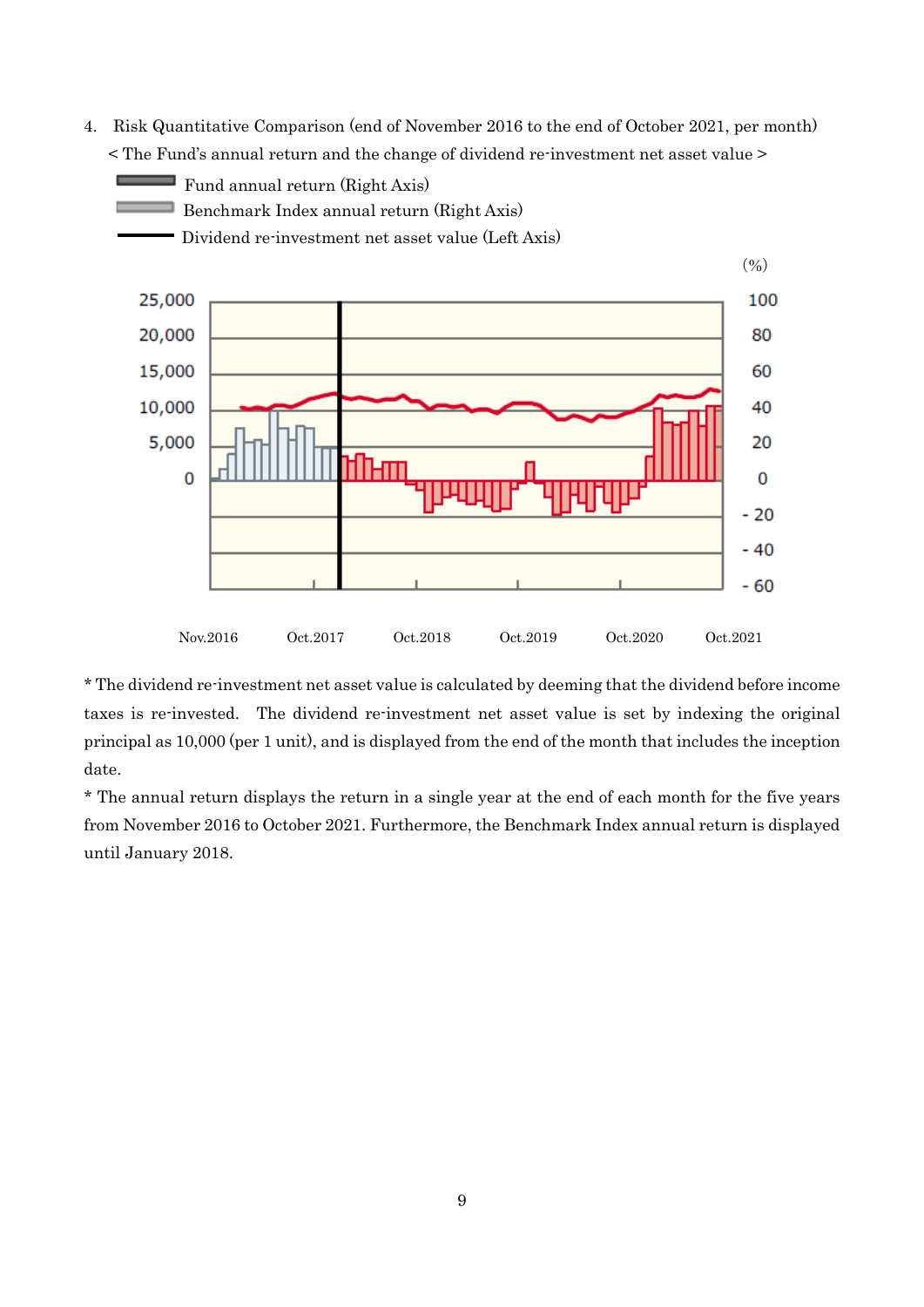4. Risk Quantitative Comparison (end of November 2016 to the end of October 2021, per month) < The Fund's annual return and the change of dividend re-investment net asset value >



\* The dividend re-investment net asset value is calculated by deeming that the dividend before income taxes is re-invested. The dividend re-investment net asset value is set by indexing the original principal as 10,000 (per 1 unit), and is displayed from the end of the month that includes the inception date.

\* The annual return displays the return in a single year at the end of each month for the five years from November 2016 to October 2021. Furthermore, the Benchmark Index annual return is displayed until January 2018.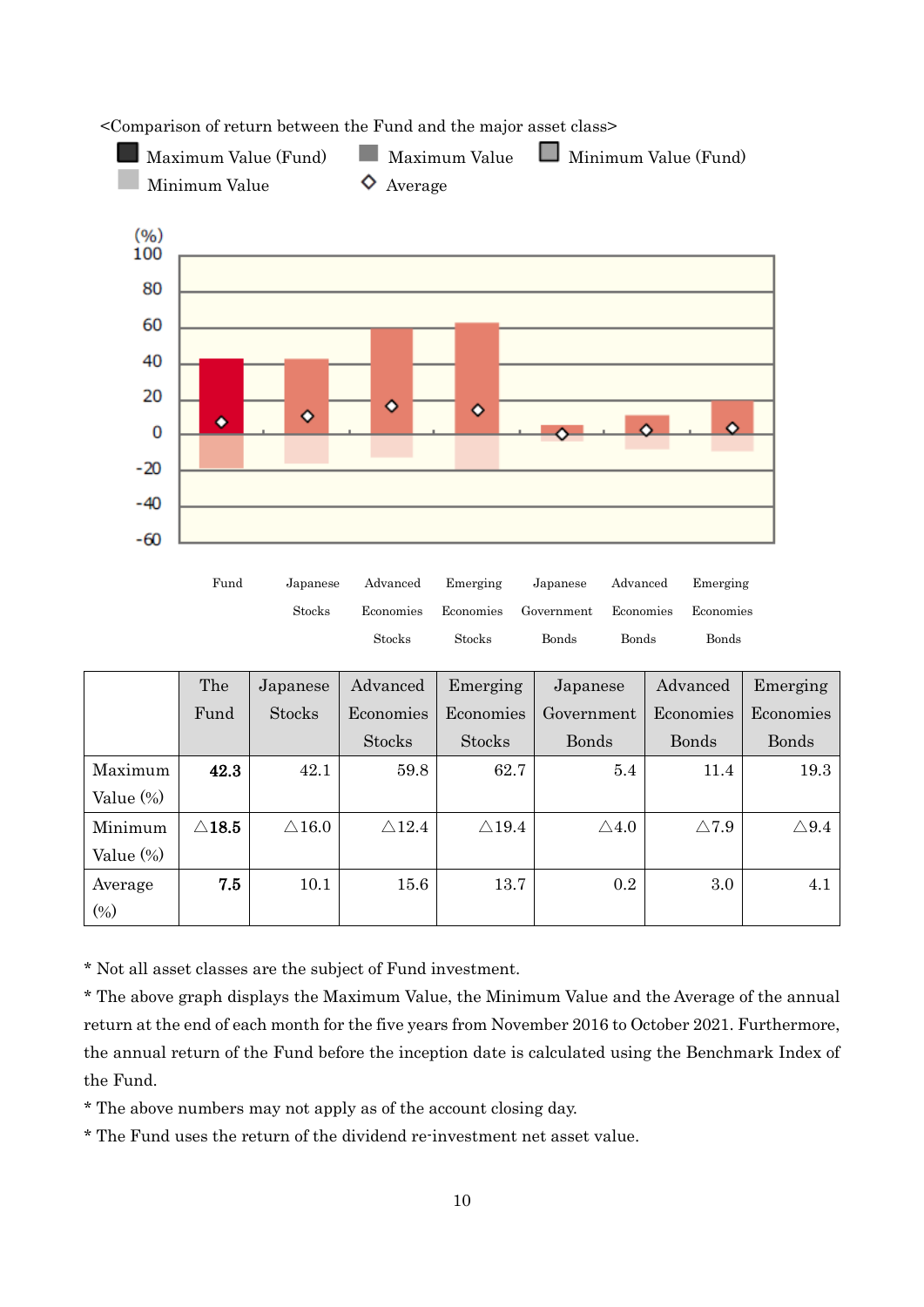

Maximum Value (Fund) Maximum Value Minimum Value (Fund)

<Comparison of return between the Fund and the major asset class>

|              | The              | Japanese         | Advanced         | Emerging         | Japanese        | Advanced        | Emerging        |
|--------------|------------------|------------------|------------------|------------------|-----------------|-----------------|-----------------|
|              | Fund             | <b>Stocks</b>    | Economies        | Economies        | Government      | Economies       | Economies       |
|              |                  |                  | <b>Stocks</b>    | <b>Stocks</b>    | <b>Bonds</b>    | Bonds           | <b>Bonds</b>    |
| Maximum      | 42.3             | 42.1             | 59.8             | 62.7             | 5.4             | 11.4            | 19.3            |
| Value $(\%)$ |                  |                  |                  |                  |                 |                 |                 |
| Minimum      | $\triangle$ 18.5 | $\triangle 16.0$ | $\triangle 12.4$ | $\triangle$ 19.4 | $\triangle 4.0$ | $\triangle 7.9$ | $\triangle 9.4$ |
| Value $(\%)$ |                  |                  |                  |                  |                 |                 |                 |
| Average      | 7.5              | 10.1             | 15.6             | 13.7             | 0.2             | 3.0             | 4.1             |
| $(\%)$       |                  |                  |                  |                  |                 |                 |                 |

Stocks Stocks Bonds Bonds Bonds

\* Not all asset classes are the subject of Fund investment.

\* The above graph displays the Maximum Value, the Minimum Value and the Average of the annual return at the end of each month for the five years from November 2016 to October 2021. Furthermore, the annual return of the Fund before the inception date is calculated using the Benchmark Index of the Fund.

\* The above numbers may not apply as of the account closing day.

\* The Fund uses the return of the dividend re-investment net asset value.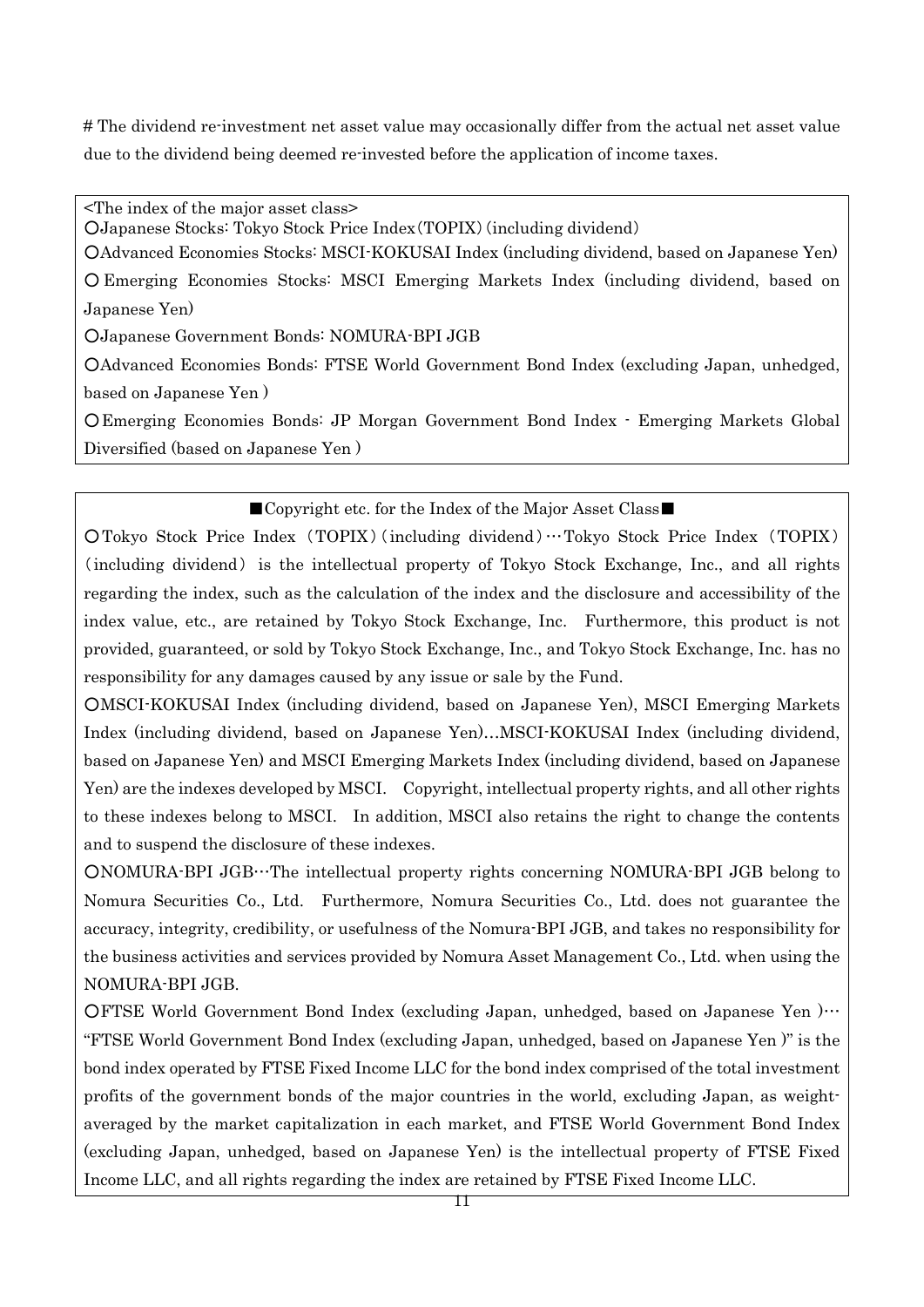# The dividend re-investment net asset value may occasionally differ from the actual net asset value due to the dividend being deemed re-invested before the application of income taxes.

<The index of the major asset class>

○Japanese Stocks: Tokyo Stock Price Index(TOPIX)(including dividend)

○Advanced Economies Stocks: MSCI-KOKUSAI Index (including dividend, based on Japanese Yen)

○ Emerging Economies Stocks: MSCI Emerging Markets Index (including dividend, based on Japanese Yen)

○Japanese Government Bonds: NOMURA-BPI JGB

○Advanced Economies Bonds: FTSE World Government Bond Index (excluding Japan, unhedged, based on Japanese Yen )

○Emerging Economies Bonds: JP Morgan Government Bond Index - Emerging Markets Global Diversified (based on Japanese Yen )

## ■Copyright etc. for the Index of the Major Asset Class■

○Tokyo Stock Price Index (TOPIX) (including dividend)…Tokyo Stock Price Index (TOPIX) (including dividend) is the intellectual property of Tokyo Stock Exchange, Inc., and all rights regarding the index, such as the calculation of the index and the disclosure and accessibility of the index value, etc., are retained by Tokyo Stock Exchange, Inc. Furthermore, this product is not provided, guaranteed, or sold by Tokyo Stock Exchange, Inc., and Tokyo Stock Exchange, Inc. has no responsibility for any damages caused by any issue or sale by the Fund.

○MSCI-KOKUSAI Index (including dividend, based on Japanese Yen), MSCI Emerging Markets Index (including dividend, based on Japanese Yen)…MSCI-KOKUSAI Index (including dividend, based on Japanese Yen) and MSCI Emerging Markets Index (including dividend, based on Japanese Yen) are the indexes developed by MSCI. Copyright, intellectual property rights, and all other rights to these indexes belong to MSCI. In addition, MSCI also retains the right to change the contents and to suspend the disclosure of these indexes.

○NOMURA-BPI JGB…The intellectual property rights concerning NOMURA-BPI JGB belong to Nomura Securities Co., Ltd. Furthermore, Nomura Securities Co., Ltd. does not guarantee the accuracy, integrity, credibility, or usefulness of the Nomura-BPI JGB, and takes no responsibility for the business activities and services provided by Nomura Asset Management Co., Ltd. when using the NOMURA-BPI JGB.

OFTSE World Government Bond Index (excluding Japan, unhedged, based on Japanese Yen )… "FTSE World Government Bond Index (excluding Japan, unhedged, based on Japanese Yen )" is the bond index operated by FTSE Fixed Income LLC for the bond index comprised of the total investment profits of the government bonds of the major countries in the world, excluding Japan, as weightaveraged by the market capitalization in each market, and FTSE World Government Bond Index (excluding Japan, unhedged, based on Japanese Yen) is the intellectual property of FTSE Fixed Income LLC, and all rights regarding the index are retained by FTSE Fixed Income LLC.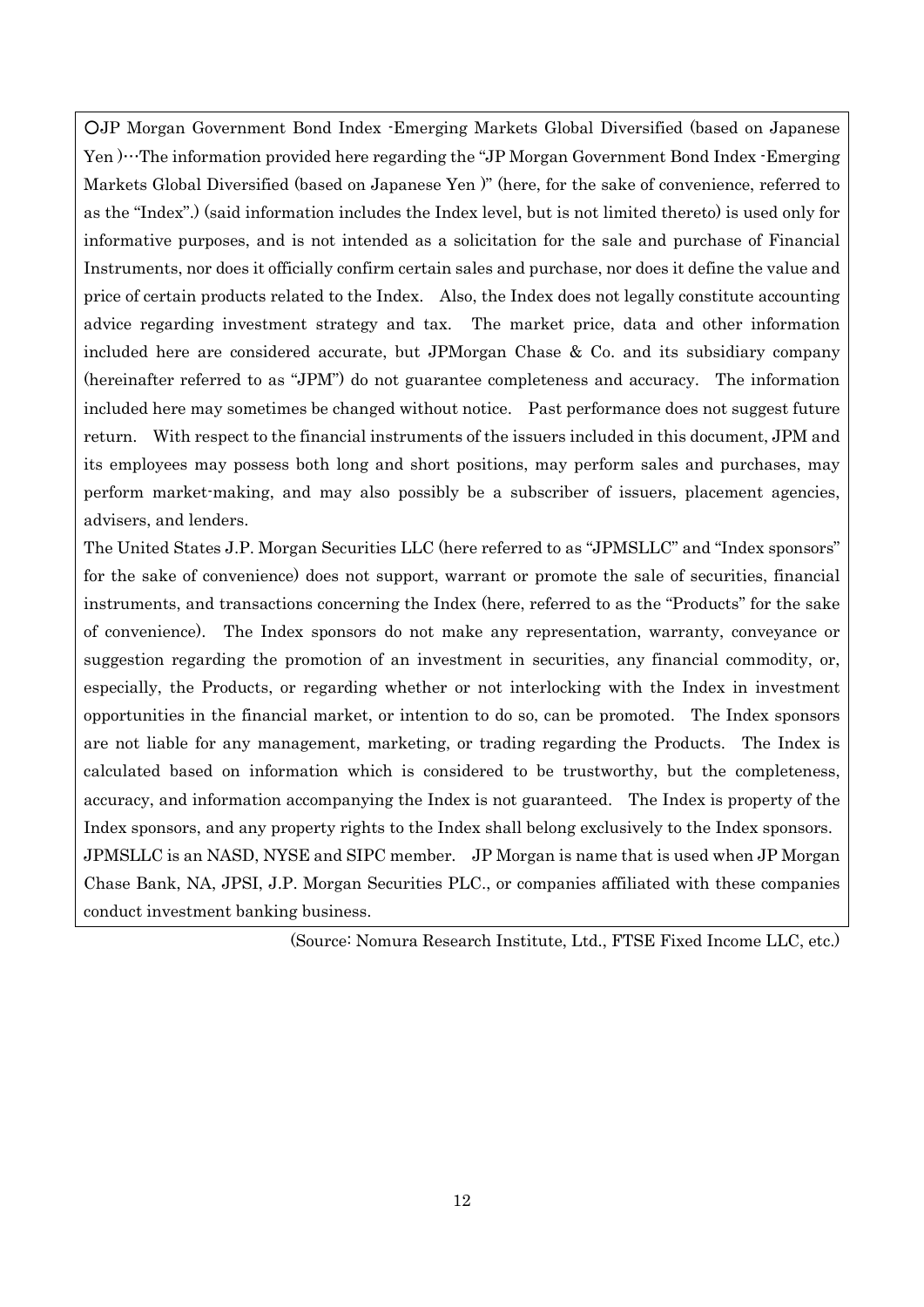○JP Morgan Government Bond Index -Emerging Markets Global Diversified (based on Japanese Yen  $\cdots$ The information provided here regarding the "JP Morgan Government Bond Index -Emerging Markets Global Diversified (based on Japanese Yen )" (here, for the sake of convenience, referred to as the "Index".) (said information includes the Index level, but is not limited thereto) is used only for informative purposes, and is not intended as a solicitation for the sale and purchase of Financial Instruments, nor does it officially confirm certain sales and purchase, nor does it define the value and price of certain products related to the Index. Also, the Index does not legally constitute accounting advice regarding investment strategy and tax. The market price, data and other information included here are considered accurate, but JPMorgan Chase & Co. and its subsidiary company (hereinafter referred to as "JPM") do not guarantee completeness and accuracy. The information included here may sometimes be changed without notice. Past performance does not suggest future return. With respect to the financial instruments of the issuers included in this document, JPM and its employees may possess both long and short positions, may perform sales and purchases, may perform market-making, and may also possibly be a subscriber of issuers, placement agencies, advisers, and lenders.

The United States J.P. Morgan Securities LLC (here referred to as "JPMSLLC" and "Index sponsors" for the sake of convenience) does not support, warrant or promote the sale of securities, financial instruments, and transactions concerning the Index (here, referred to as the "Products" for the sake of convenience). The Index sponsors do not make any representation, warranty, conveyance or suggestion regarding the promotion of an investment in securities, any financial commodity, or, especially, the Products, or regarding whether or not interlocking with the Index in investment opportunities in the financial market, or intention to do so, can be promoted. The Index sponsors are not liable for any management, marketing, or trading regarding the Products. The Index is calculated based on information which is considered to be trustworthy, but the completeness, accuracy, and information accompanying the Index is not guaranteed. The Index is property of the Index sponsors, and any property rights to the Index shall belong exclusively to the Index sponsors. JPMSLLC is an NASD, NYSE and SIPC member. JP Morgan is name that is used when JP Morgan Chase Bank, NA, JPSI, J.P. Morgan Securities PLC., or companies affiliated with these companies conduct investment banking business.

(Source: Nomura Research Institute, Ltd., FTSE Fixed Income LLC, etc.)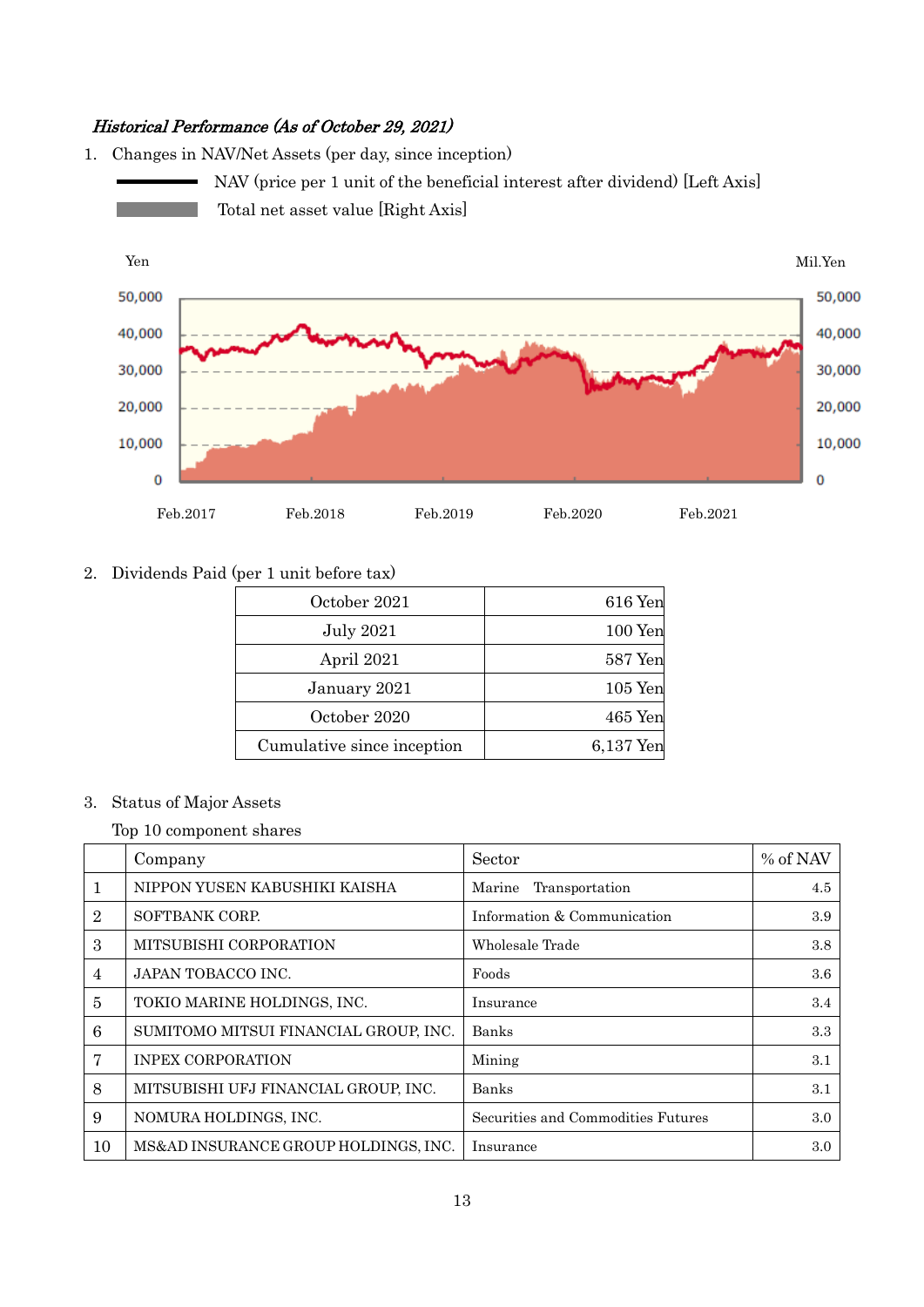## Historical Performance (As of October 29, 2021)

1. Changes in NAV/Net Assets (per day, since inception) NAV (price per 1 unit of the beneficial interest after dividend) [Left Axis] Total net asset value [Right Axis] Yen Mil.Yen



#### 2. Dividends Paid (per 1 unit before tax)

| October 2021               | 616 Yen   |
|----------------------------|-----------|
| <b>July 2021</b>           | $100$ Yen |
| April 2021                 | 587 Yen   |
| January 2021               | $105$ Yen |
| October 2020               | $465$ Yen |
| Cumulative since inception | 6,137 Yen |

#### 3. Status of Major Assets

Top 10 component shares

|                | Company                               | Sector                             | % of NAV |
|----------------|---------------------------------------|------------------------------------|----------|
| 1              | NIPPON YUSEN KABUSHIKI KAISHA         | Transportation<br>Marine           | 4.5      |
| $\overline{2}$ | SOFTBANK CORP.                        | Information & Communication        | 3.9      |
| 3              | MITSUBISHI CORPORATION                | Wholesale Trade                    | 3.8      |
| 4              | JAPAN TOBACCO INC.                    | Foods                              | 3.6      |
| 5              | TOKIO MARINE HOLDINGS, INC.           | Insurance                          | 3.4      |
| 6              | SUMITOMO MITSUI FINANCIAL GROUP, INC. | Banks                              | 3.3      |
| 7              | <b>INPEX CORPORATION</b>              | Mining                             | 3.1      |
| 8              | MITSUBISHI UFJ FINANCIAL GROUP, INC.  | <b>Banks</b>                       | 3.1      |
| 9              | NOMURA HOLDINGS, INC.                 | Securities and Commodities Futures | 3.0      |
| 10             | MS&AD INSURANCE GROUP HOLDINGS, INC.  | Insurance                          | 3.0      |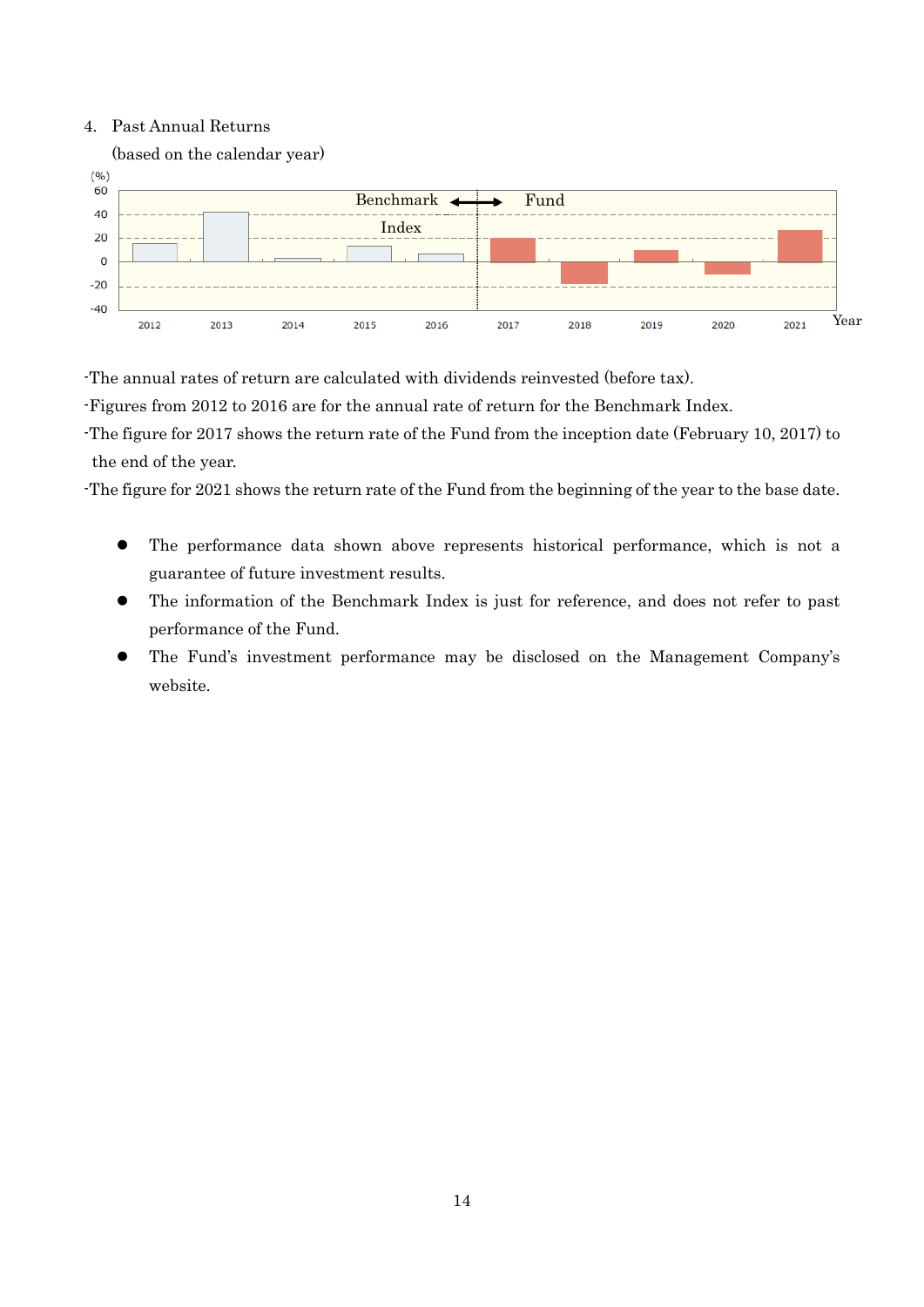#### 4. Past Annual Returns



-The annual rates of return are calculated with dividends reinvested (before tax).

-Figures from 2012 to 2016 are for the annual rate of return for the Benchmark Index.

-The figure for 2017 shows the return rate of the Fund from the inception date (February 10, 2017) to the end of the year.

-The figure for 2021 shows the return rate of the Fund from the beginning of the year to the base date.

- The performance data shown above represents historical performance, which is not a guarantee of future investment results.
- The information of the Benchmark Index is just for reference, and does not refer to past performance of the Fund.
- The Fund's investment performance may be disclosed on the Management Company's website.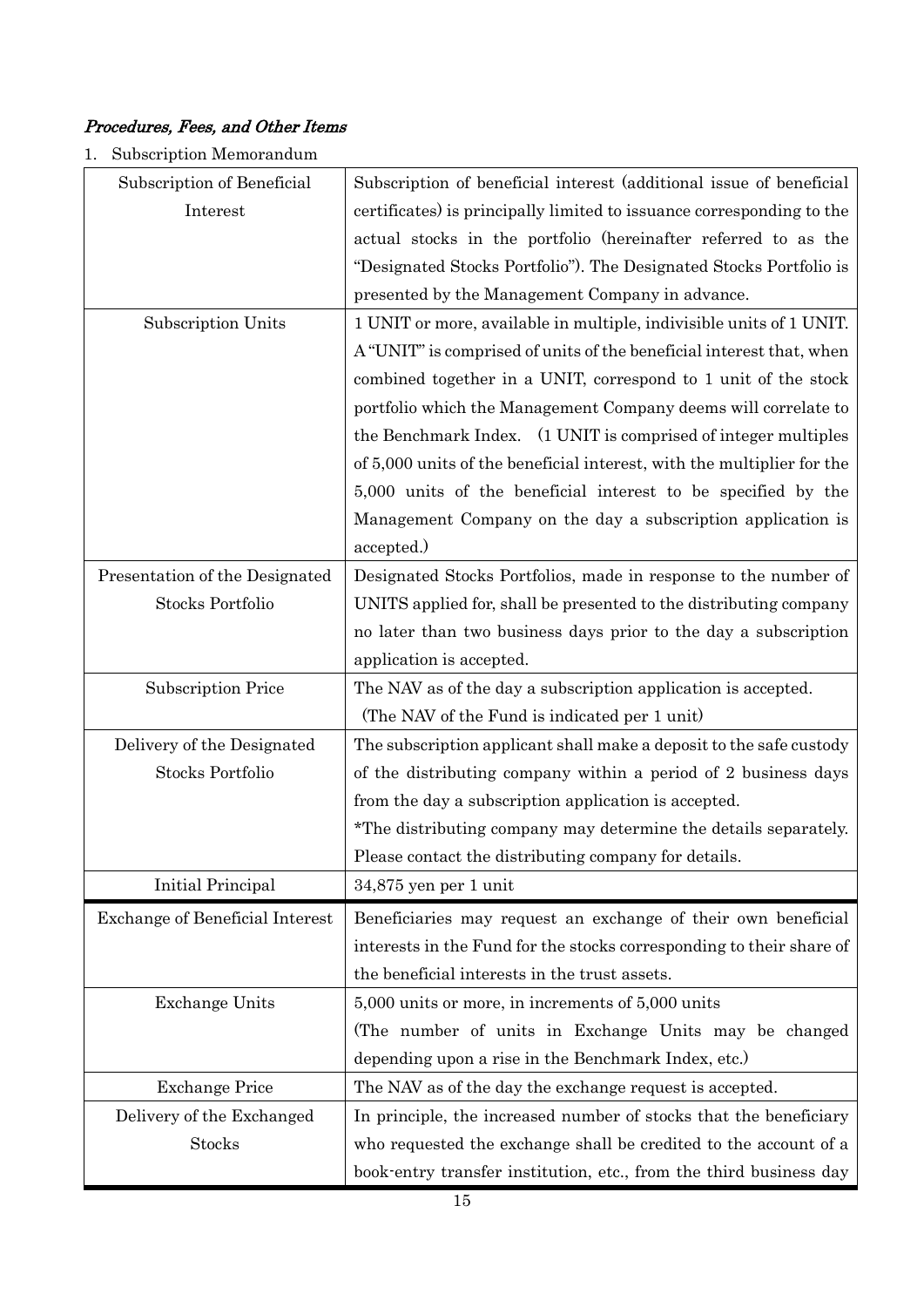## Procedures, Fees, and Other Items

1. Subscription Memorandum

| Subscription of Beneficial      | Subscription of beneficial interest (additional issue of beneficial    |
|---------------------------------|------------------------------------------------------------------------|
| Interest                        | certificates) is principally limited to issuance corresponding to the  |
|                                 | actual stocks in the portfolio (hereinafter referred to as the         |
|                                 | "Designated Stocks Portfolio"). The Designated Stocks Portfolio is     |
|                                 | presented by the Management Company in advance.                        |
| Subscription Units              | 1 UNIT or more, available in multiple, indivisible units of 1 UNIT.    |
|                                 | A "UNIT" is comprised of units of the beneficial interest that, when   |
|                                 | combined together in a UNIT, correspond to 1 unit of the stock         |
|                                 | portfolio which the Management Company deems will correlate to         |
|                                 | the Benchmark Index. (1 UNIT is comprised of integer multiples         |
|                                 | of 5,000 units of the beneficial interest, with the multiplier for the |
|                                 | 5,000 units of the beneficial interest to be specified by the          |
|                                 | Management Company on the day a subscription application is            |
|                                 | accepted.)                                                             |
| Presentation of the Designated  | Designated Stocks Portfolios, made in response to the number of        |
| <b>Stocks Portfolio</b>         | UNITS applied for, shall be presented to the distributing company      |
|                                 | no later than two business days prior to the day a subscription        |
|                                 | application is accepted.                                               |
| <b>Subscription Price</b>       | The NAV as of the day a subscription application is accepted.          |
|                                 | (The NAV of the Fund is indicated per 1 unit)                          |
| Delivery of the Designated      | The subscription applicant shall make a deposit to the safe custody    |
| <b>Stocks Portfolio</b>         | of the distributing company within a period of 2 business days         |
|                                 | from the day a subscription application is accepted.                   |
|                                 | *The distributing company may determine the details separately.        |
|                                 | Please contact the distributing company for details.                   |
| Initial Principal               | $34,875$ yen per 1 unit                                                |
| Exchange of Beneficial Interest | Beneficiaries may request an exchange of their own beneficial          |
|                                 | interests in the Fund for the stocks corresponding to their share of   |
|                                 | the beneficial interests in the trust assets.                          |
| <b>Exchange Units</b>           | 5,000 units or more, in increments of 5,000 units                      |
|                                 | (The number of units in Exchange Units may be changed                  |
|                                 | depending upon a rise in the Benchmark Index, etc.)                    |
| <b>Exchange Price</b>           | The NAV as of the day the exchange request is accepted.                |
| Delivery of the Exchanged       | In principle, the increased number of stocks that the beneficiary      |
|                                 |                                                                        |
| <b>Stocks</b>                   | who requested the exchange shall be credited to the account of a       |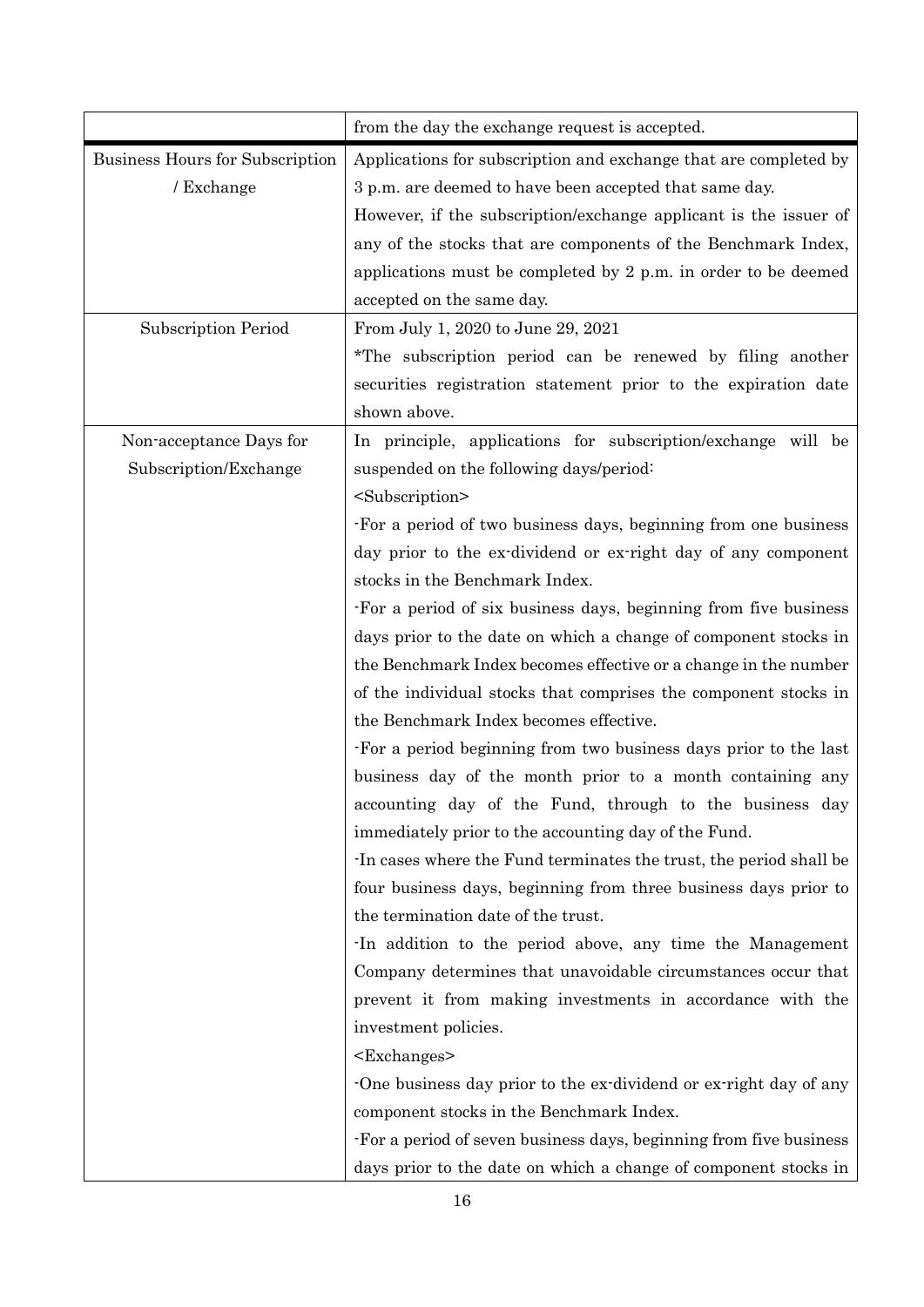|                                 | from the day the exchange request is accepted.                    |
|---------------------------------|-------------------------------------------------------------------|
| Business Hours for Subscription | Applications for subscription and exchange that are completed by  |
| / Exchange                      | 3 p.m. are deemed to have been accepted that same day.            |
|                                 | However, if the subscription/exchange applicant is the issuer of  |
|                                 | any of the stocks that are components of the Benchmark Index,     |
|                                 | applications must be completed by 2 p.m. in order to be deemed    |
|                                 | accepted on the same day.                                         |
| <b>Subscription Period</b>      | From July 1, 2020 to June 29, 2021                                |
|                                 | *The subscription period can be renewed by filing another         |
|                                 | securities registration statement prior to the expiration date    |
|                                 | shown above.                                                      |
| Non-acceptance Days for         | In principle, applications for subscription/exchange will be      |
| Subscription/Exchange           | suspended on the following days/period:                           |
|                                 | <subscription></subscription>                                     |
|                                 | For a period of two business days, beginning from one business    |
|                                 | day prior to the ex-dividend or ex-right day of any component     |
|                                 | stocks in the Benchmark Index.                                    |
|                                 | -For a period of six business days, beginning from five business  |
|                                 | days prior to the date on which a change of component stocks in   |
|                                 | the Benchmark Index becomes effective or a change in the number   |
|                                 | of the individual stocks that comprises the component stocks in   |
|                                 | the Benchmark Index becomes effective.                            |
|                                 | For a period beginning from two business days prior to the last   |
|                                 | business day of the month prior to a month containing any         |
|                                 | accounting day of the Fund, through to the business day           |
|                                 | immediately prior to the accounting day of the Fund.              |
|                                 | In cases where the Fund terminates the trust, the period shall be |
|                                 | four business days, beginning from three business days prior to   |
|                                 | the termination date of the trust.                                |
|                                 | In addition to the period above, any time the Management          |
|                                 | Company determines that unavoidable circumstances occur that      |
|                                 | prevent it from making investments in accordance with the         |
|                                 | investment policies.                                              |
|                                 | $<$ Exchanges $>$                                                 |
|                                 | One business day prior to the ex-dividend or ex-right day of any  |
|                                 | component stocks in the Benchmark Index.                          |
|                                 | For a period of seven business days, beginning from five business |
|                                 | days prior to the date on which a change of component stocks in   |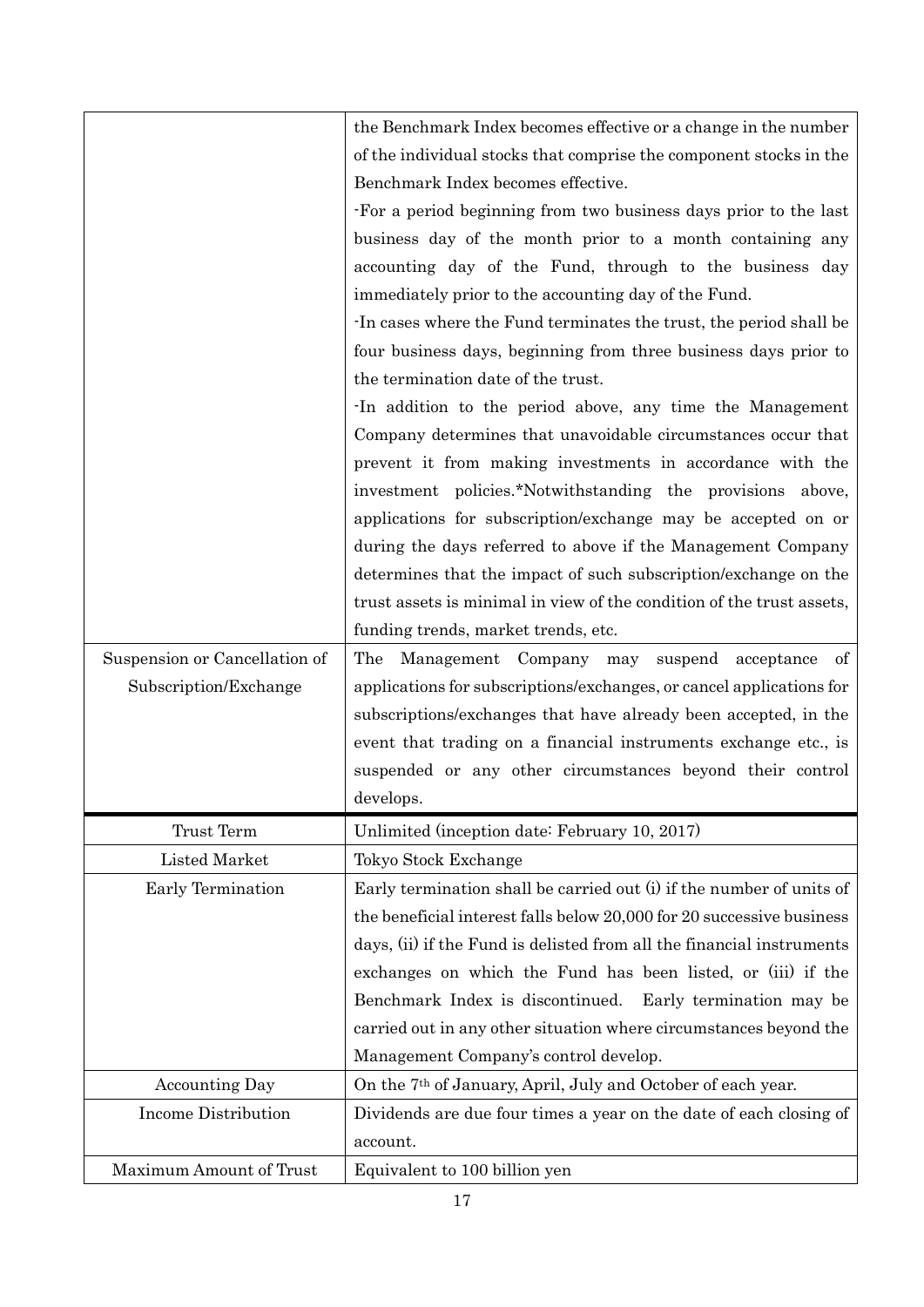|                               | the Benchmark Index becomes effective or a change in the number          |
|-------------------------------|--------------------------------------------------------------------------|
|                               | of the individual stocks that comprise the component stocks in the       |
|                               | Benchmark Index becomes effective.                                       |
|                               | For a period beginning from two business days prior to the last          |
|                               | business day of the month prior to a month containing any                |
|                               | accounting day of the Fund, through to the business day                  |
|                               | immediately prior to the accounting day of the Fund.                     |
|                               | In cases where the Fund terminates the trust, the period shall be        |
|                               | four business days, beginning from three business days prior to          |
|                               | the termination date of the trust.                                       |
|                               | In addition to the period above, any time the Management                 |
|                               | Company determines that unavoidable circumstances occur that             |
|                               | prevent it from making investments in accordance with the                |
|                               | investment policies.*Notwithstanding the provisions above,               |
|                               | applications for subscription/exchange may be accepted on or             |
|                               | during the days referred to above if the Management Company              |
|                               | determines that the impact of such subscription/exchange on the          |
|                               | trust assets is minimal in view of the condition of the trust assets,    |
|                               | funding trends, market trends, etc.                                      |
| Suspension or Cancellation of | The<br>Management Company may<br>suspend acceptance of                   |
| Subscription/Exchange         | applications for subscriptions/exchanges, or cancel applications for     |
|                               | subscriptions/exchanges that have already been accepted, in the          |
|                               | event that trading on a financial instruments exchange etc., is          |
|                               | suspended or any other circumstances beyond their control                |
|                               | develops.                                                                |
| Trust Term                    | Unlimited (inception date: February 10, 2017)                            |
| Listed Market                 | Tokyo Stock Exchange                                                     |
| Early Termination             | Early termination shall be carried out (i) if the number of units of     |
|                               | the beneficial interest falls below 20,000 for 20 successive business    |
|                               | days, (ii) if the Fund is delisted from all the financial instruments    |
|                               | exchanges on which the Fund has been listed, or (iii) if the             |
|                               | Benchmark Index is discontinued. Early termination may be                |
|                               | carried out in any other situation where circumstances beyond the        |
|                               | Management Company's control develop.                                    |
| <b>Accounting Day</b>         | On the 7 <sup>th</sup> of January, April, July and October of each year. |
| <b>Income Distribution</b>    | Dividends are due four times a year on the date of each closing of       |
|                               | account.                                                                 |
| Maximum Amount of Trust       | Equivalent to 100 billion yen                                            |
|                               |                                                                          |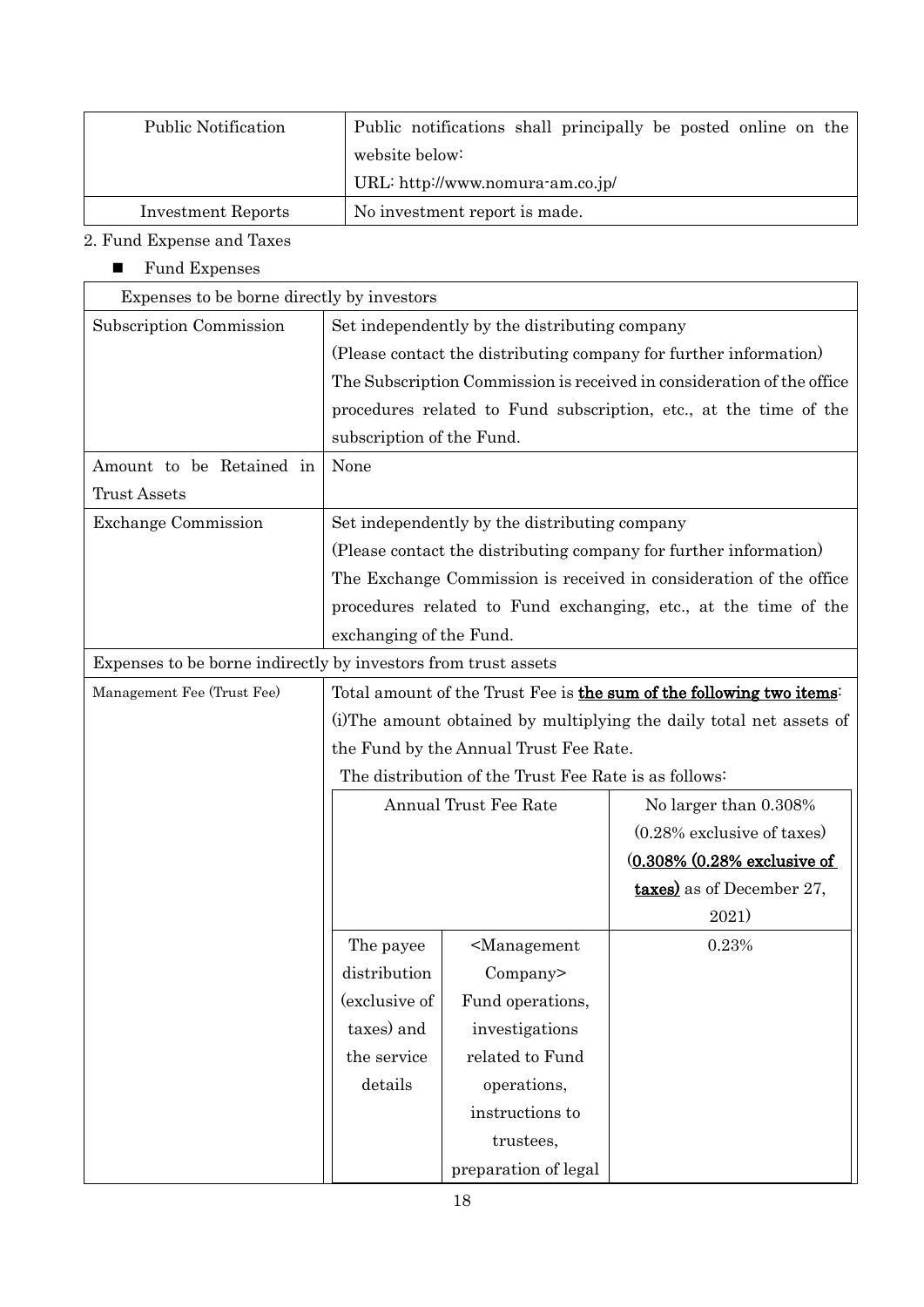| <b>Public Notification</b> | Public notifications shall principally be posted online on the |
|----------------------------|----------------------------------------------------------------|
|                            | website below:                                                 |
|                            | URL: http://www.nomura-am.co.jp/                               |
| <b>Investment Reports</b>  | No investment report is made.                                  |

## 2. Fund Expense and Taxes

 $\blacksquare$  <br> Fund Expenses

| Expenses to be borne directly by investors                     |                                                                        |                                                 |                                                                   |  |
|----------------------------------------------------------------|------------------------------------------------------------------------|-------------------------------------------------|-------------------------------------------------------------------|--|
| Subscription Commission                                        | Set independently by the distributing company                          |                                                 |                                                                   |  |
|                                                                | (Please contact the distributing company for further information)      |                                                 |                                                                   |  |
|                                                                | The Subscription Commission is received in consideration of the office |                                                 |                                                                   |  |
|                                                                |                                                                        |                                                 | procedures related to Fund subscription, etc., at the time of the |  |
|                                                                | subscription of the Fund.                                              |                                                 |                                                                   |  |
| Amount to be Retained in                                       | None                                                                   |                                                 |                                                                   |  |
| <b>Trust Assets</b>                                            |                                                                        |                                                 |                                                                   |  |
| <b>Exchange Commission</b>                                     | Set independently by the distributing company                          |                                                 |                                                                   |  |
|                                                                | (Please contact the distributing company for further information)      |                                                 |                                                                   |  |
|                                                                | The Exchange Commission is received in consideration of the office     |                                                 |                                                                   |  |
|                                                                | procedures related to Fund exchanging, etc., at the time of the        |                                                 |                                                                   |  |
|                                                                | exchanging of the Fund.                                                |                                                 |                                                                   |  |
| Expenses to be borne indirectly by investors from trust assets |                                                                        |                                                 |                                                                   |  |
| Management Fee (Trust Fee)                                     | Total amount of the Trust Fee is the sum of the following two items:   |                                                 |                                                                   |  |
|                                                                | (i) The amount obtained by multiplying the daily total net assets of   |                                                 |                                                                   |  |
|                                                                | the Fund by the Annual Trust Fee Rate.                                 |                                                 |                                                                   |  |
|                                                                | The distribution of the Trust Fee Rate is as follows:                  |                                                 |                                                                   |  |
|                                                                | Annual Trust Fee Rate                                                  |                                                 | No larger than 0.308%                                             |  |
|                                                                |                                                                        |                                                 | $(0.28\%$ exclusive of taxes)                                     |  |
|                                                                |                                                                        |                                                 | (0.308% (0.28% exclusive of                                       |  |
|                                                                |                                                                        |                                                 | <b>taxes</b> ) as of December 27,                                 |  |
|                                                                |                                                                        |                                                 | 2021)                                                             |  |
|                                                                | The payee                                                              | <management< td=""><td>0.23%</td></management<> | 0.23%                                                             |  |
|                                                                | distribution                                                           | Company>                                        |                                                                   |  |
|                                                                | (exclusive of                                                          | Fund operations,                                |                                                                   |  |
|                                                                | taxes) and                                                             | investigations                                  |                                                                   |  |
|                                                                | the service                                                            | related to Fund                                 |                                                                   |  |
|                                                                | details                                                                | operations,                                     |                                                                   |  |
|                                                                |                                                                        | instructions to                                 |                                                                   |  |
|                                                                |                                                                        | trustees,                                       |                                                                   |  |
|                                                                |                                                                        | preparation of legal                            |                                                                   |  |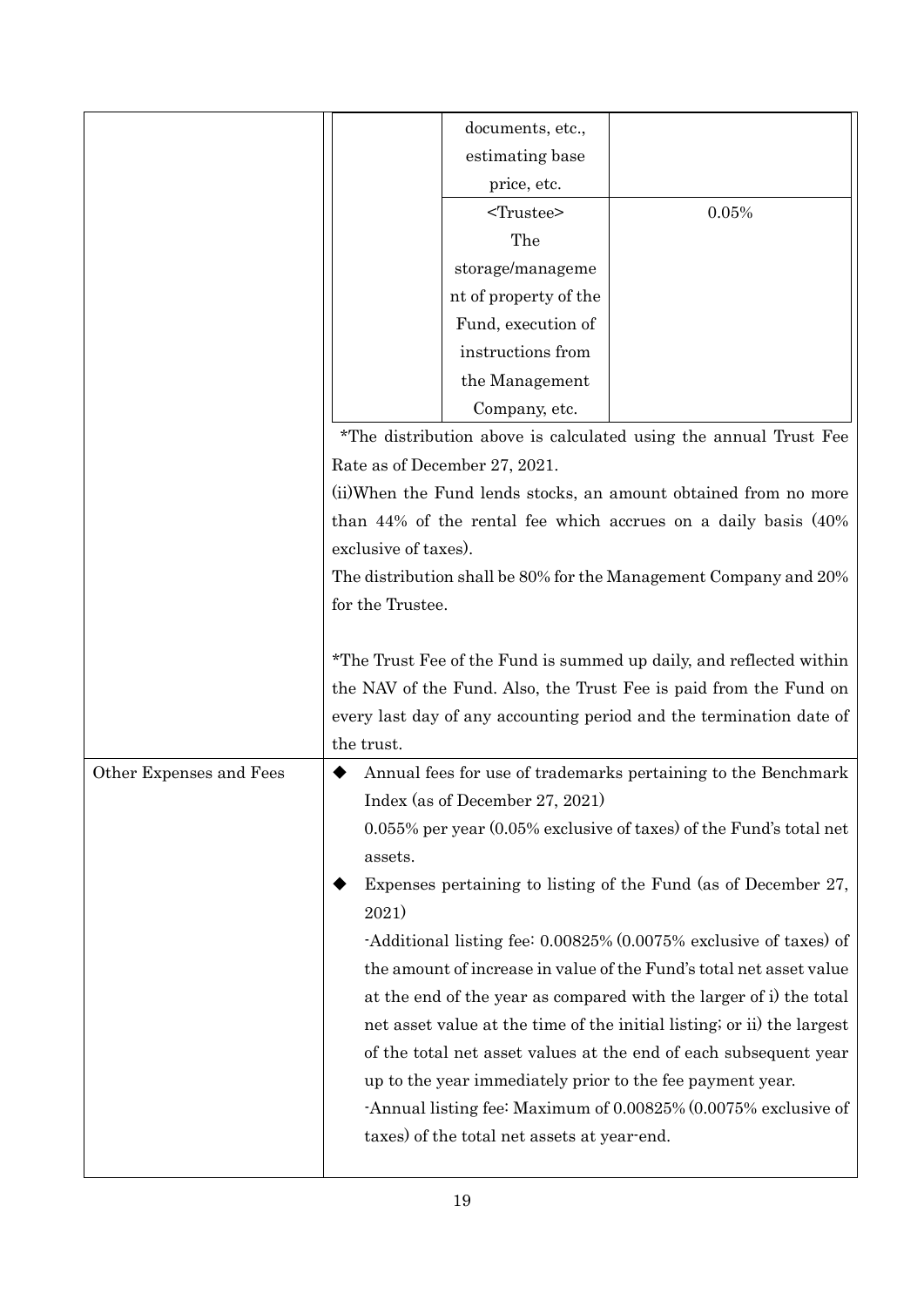|                         |                                                                                                                                                                                                                               | documents, etc.,                                                 |                                                                        |  |  |
|-------------------------|-------------------------------------------------------------------------------------------------------------------------------------------------------------------------------------------------------------------------------|------------------------------------------------------------------|------------------------------------------------------------------------|--|--|
|                         |                                                                                                                                                                                                                               | estimating base                                                  |                                                                        |  |  |
|                         |                                                                                                                                                                                                                               | price, etc.                                                      |                                                                        |  |  |
|                         |                                                                                                                                                                                                                               | <trustee></trustee>                                              | 0.05%                                                                  |  |  |
|                         |                                                                                                                                                                                                                               | The                                                              |                                                                        |  |  |
|                         |                                                                                                                                                                                                                               | storage/manageme                                                 |                                                                        |  |  |
|                         |                                                                                                                                                                                                                               | nt of property of the                                            |                                                                        |  |  |
|                         |                                                                                                                                                                                                                               | Fund, execution of                                               |                                                                        |  |  |
|                         |                                                                                                                                                                                                                               | instructions from                                                |                                                                        |  |  |
|                         |                                                                                                                                                                                                                               | the Management                                                   |                                                                        |  |  |
|                         |                                                                                                                                                                                                                               | Company, etc.                                                    |                                                                        |  |  |
|                         |                                                                                                                                                                                                                               | *The distribution above is calculated using the annual Trust Fee |                                                                        |  |  |
|                         | Rate as of December 27, 2021.                                                                                                                                                                                                 |                                                                  |                                                                        |  |  |
|                         | (ii) When the Fund lends stocks, an amount obtained from no more                                                                                                                                                              |                                                                  |                                                                        |  |  |
|                         | than $44\%$ of the rental fee which accrues on a daily basis $(40\%$                                                                                                                                                          |                                                                  |                                                                        |  |  |
|                         | exclusive of taxes).                                                                                                                                                                                                          |                                                                  |                                                                        |  |  |
|                         | The distribution shall be 80% for the Management Company and 20%                                                                                                                                                              |                                                                  |                                                                        |  |  |
|                         | for the Trustee.                                                                                                                                                                                                              |                                                                  |                                                                        |  |  |
|                         | *The Trust Fee of the Fund is summed up daily, and reflected within<br>the NAV of the Fund. Also, the Trust Fee is paid from the Fund on<br>every last day of any accounting period and the termination date of<br>the trust. |                                                                  |                                                                        |  |  |
| Other Expenses and Fees |                                                                                                                                                                                                                               |                                                                  | Annual fees for use of trademarks pertaining to the Benchmark          |  |  |
|                         | Index (as of December 27, 2021)                                                                                                                                                                                               |                                                                  |                                                                        |  |  |
|                         | 0.055% per year (0.05% exclusive of taxes) of the Fund's total net                                                                                                                                                            |                                                                  |                                                                        |  |  |
|                         | assets.                                                                                                                                                                                                                       |                                                                  |                                                                        |  |  |
|                         | Expenses pertaining to listing of the Fund (as of December 27,<br>2021)<br>-Additional listing fee: 0.00825% (0.0075% exclusive of taxes) of                                                                                  |                                                                  |                                                                        |  |  |
|                         |                                                                                                                                                                                                                               |                                                                  |                                                                        |  |  |
|                         |                                                                                                                                                                                                                               |                                                                  |                                                                        |  |  |
|                         |                                                                                                                                                                                                                               |                                                                  |                                                                        |  |  |
|                         |                                                                                                                                                                                                                               |                                                                  | the amount of increase in value of the Fund's total net asset value    |  |  |
|                         |                                                                                                                                                                                                                               |                                                                  | at the end of the year as compared with the larger of i) the total     |  |  |
|                         |                                                                                                                                                                                                                               |                                                                  | net asset value at the time of the initial listing; or ii) the largest |  |  |
|                         |                                                                                                                                                                                                                               |                                                                  | of the total net asset values at the end of each subsequent year       |  |  |
|                         |                                                                                                                                                                                                                               |                                                                  | up to the year immediately prior to the fee payment year.              |  |  |
|                         |                                                                                                                                                                                                                               |                                                                  | -Annual listing fee: Maximum of 0.00825% (0.0075% exclusive of         |  |  |
|                         |                                                                                                                                                                                                                               | taxes) of the total net assets at year-end.                      |                                                                        |  |  |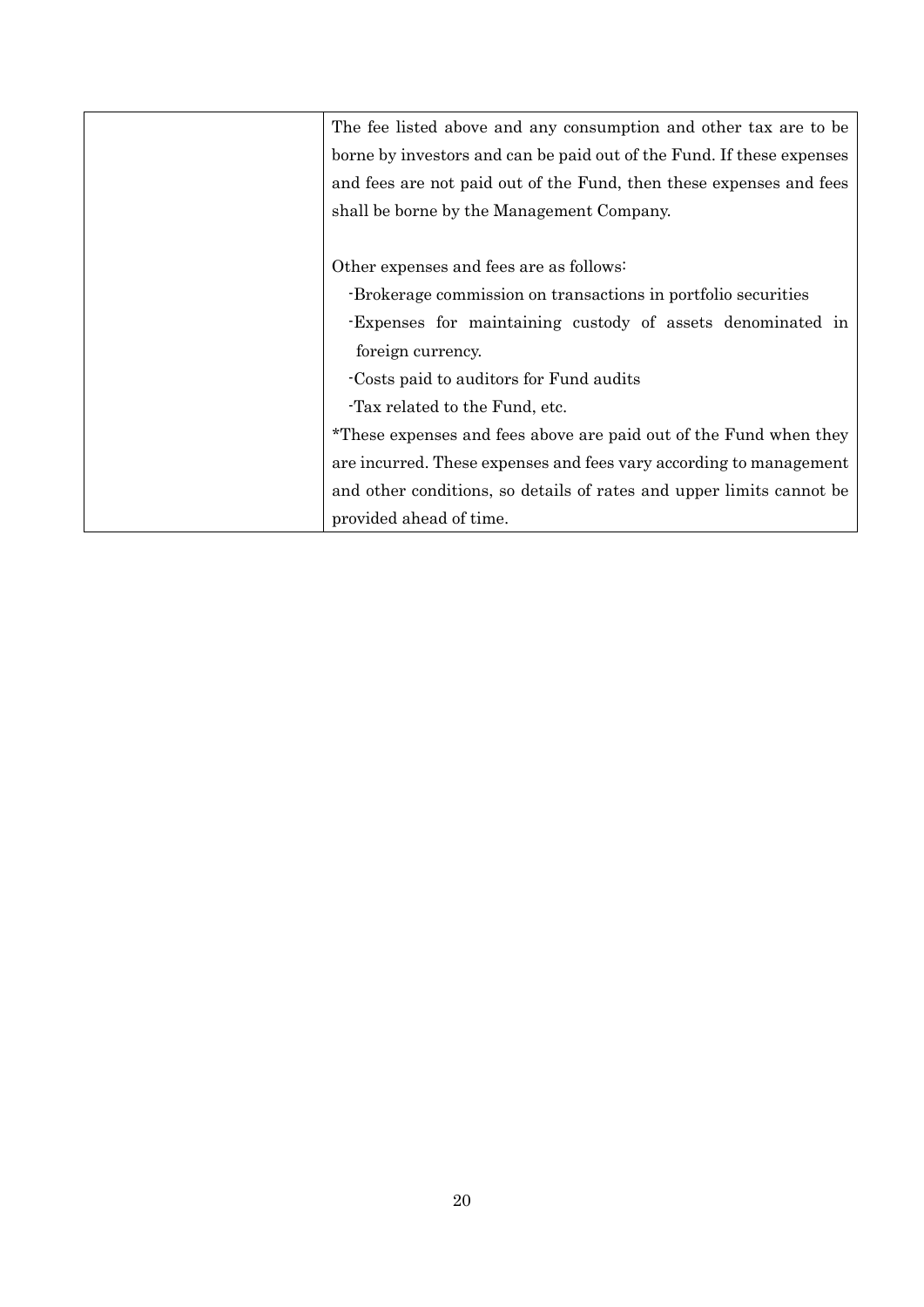| The fee listed above and any consumption and other tax are to be      |  |  |  |
|-----------------------------------------------------------------------|--|--|--|
| borne by investors and can be paid out of the Fund. If these expenses |  |  |  |
| and fees are not paid out of the Fund, then these expenses and fees   |  |  |  |
| shall be borne by the Management Company.                             |  |  |  |
|                                                                       |  |  |  |
| Other expenses and fees are as follows:                               |  |  |  |
| -Brokerage commission on transactions in portfolio securities         |  |  |  |
| Expenses for maintaining custody of assets denominated in             |  |  |  |
| foreign currency.                                                     |  |  |  |
| Costs paid to auditors for Fund audits                                |  |  |  |
| Tax related to the Fund, etc.                                         |  |  |  |
| *These expenses and fees above are paid out of the Fund when they     |  |  |  |
| are incurred. These expenses and fees vary according to management    |  |  |  |
| and other conditions, so details of rates and upper limits cannot be  |  |  |  |
| provided ahead of time.                                               |  |  |  |